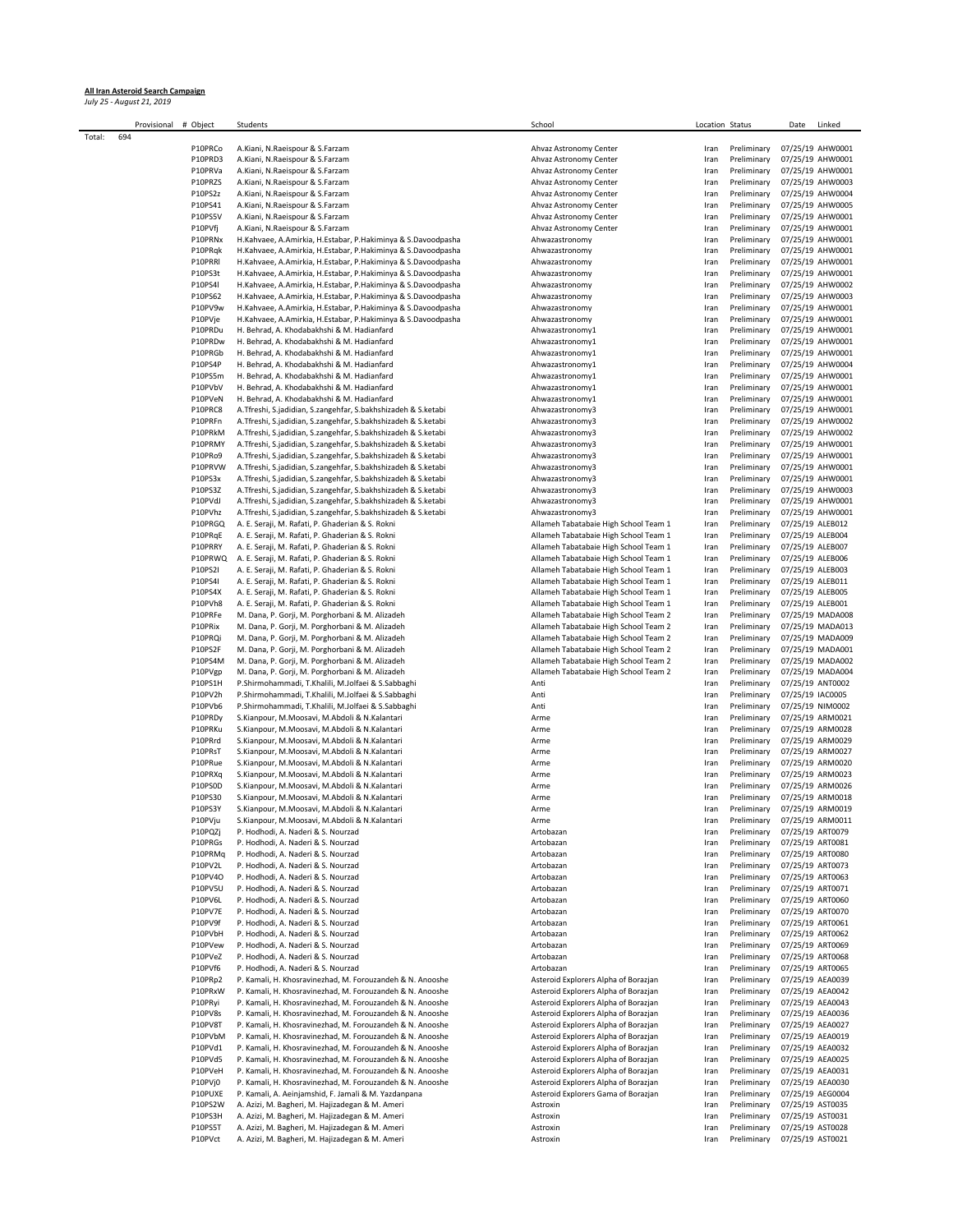## **All Iran Asteroid Search Campaign** *July 25 - August 21, 2019*

|        | Provisional | # Object           | Students                                                                                                                       | School                                                                         | Location Status |                            | Date                                 | Linked                               |
|--------|-------------|--------------------|--------------------------------------------------------------------------------------------------------------------------------|--------------------------------------------------------------------------------|-----------------|----------------------------|--------------------------------------|--------------------------------------|
| Total: | 694         |                    |                                                                                                                                |                                                                                |                 |                            |                                      |                                      |
|        |             | P10PRCo            | A.Kiani, N.Raeispour & S.Farzam                                                                                                | Ahvaz Astronomy Center                                                         | Iran            | Preliminary                | 07/25/19 AHW0001                     |                                      |
|        |             | P10PRD3<br>P10PRVa | A.Kiani, N.Raeispour & S.Farzam                                                                                                | Ahvaz Astronomy Center                                                         | Iran            | Preliminary                |                                      | 07/25/19 AHW0001<br>07/25/19 AHW0001 |
|        |             | P10PRZS            | A.Kiani, N.Raeispour & S.Farzam<br>A.Kiani, N.Raeispour & S.Farzam                                                             | Ahvaz Astronomy Center<br>Ahvaz Astronomy Center                               | Iran<br>Iran    | Preliminary<br>Preliminary |                                      | 07/25/19 AHW0003                     |
|        |             | P10PS2z            | A.Kiani, N.Raeispour & S.Farzam                                                                                                | Ahvaz Astronomy Center                                                         | Iran            | Preliminary                |                                      | 07/25/19 AHW0004                     |
|        |             | P10PS41            | A.Kiani, N.Raeispour & S.Farzam                                                                                                | Ahvaz Astronomy Center                                                         | Iran            | Preliminary                |                                      | 07/25/19 AHW0005                     |
|        |             | P10PS5V            | A.Kiani, N.Raeispour & S.Farzam                                                                                                | Ahvaz Astronomy Center                                                         | Iran            | Preliminary                |                                      | 07/25/19 AHW0001                     |
|        |             | P10PVfj            | A.Kiani, N.Raeispour & S.Farzam                                                                                                | Ahvaz Astronomy Center                                                         | Iran            | Preliminary                |                                      | 07/25/19 AHW0001                     |
|        |             | P10PRNx            | H.Kahvaee, A.Amirkia, H.Estabar, P.Hakiminya & S.Davoodpasha                                                                   | Ahwazastronomy                                                                 | Iran            | Preliminary                |                                      | 07/25/19 AHW0001                     |
|        |             | P10PRqk            | H.Kahvaee, A.Amirkia, H.Estabar, P.Hakiminya & S.Davoodpasha                                                                   | Ahwazastronomy                                                                 | Iran            | Preliminary                |                                      | 07/25/19 AHW0001                     |
|        |             | P10PRRI            | H.Kahvaee, A.Amirkia, H.Estabar, P.Hakiminya & S.Davoodpasha                                                                   | Ahwazastronomy                                                                 | Iran            | Preliminary                |                                      | 07/25/19 AHW0001                     |
|        |             | P10PS3t            | H.Kahvaee, A.Amirkia, H.Estabar, P.Hakiminya & S.Davoodpasha                                                                   | Ahwazastronomy                                                                 | Iran            | Preliminary                |                                      | 07/25/19 AHW0001                     |
|        |             | P10PS4I            | H.Kahvaee, A.Amirkia, H.Estabar, P.Hakiminya & S.Davoodpasha                                                                   | Ahwazastronomy                                                                 | Iran            | Preliminary                |                                      | 07/25/19 AHW0002                     |
|        |             | P10PS62<br>P10PV9w | H.Kahvaee, A.Amirkia, H.Estabar, P.Hakiminya & S.Davoodpasha<br>H.Kahvaee, A.Amirkia, H.Estabar, P.Hakiminya & S.Davoodpasha   | Ahwazastronomy<br>Ahwazastronomy                                               | Iran            | Preliminary<br>Preliminary |                                      | 07/25/19 AHW0003<br>07/25/19 AHW0001 |
|        |             | P10PVje            | H.Kahvaee, A.Amirkia, H.Estabar, P.Hakiminya & S.Davoodpasha                                                                   | Ahwazastronomy                                                                 | Iran<br>Iran    | Preliminary                |                                      | 07/25/19 AHW0001                     |
|        |             | P10PRDu            | H. Behrad, A. Khodabakhshi & M. Hadianfard                                                                                     | Ahwazastronomy1                                                                | Iran            | Preliminary                |                                      | 07/25/19 AHW0001                     |
|        |             | P10PRDw            | H. Behrad, A. Khodabakhshi & M. Hadianfard                                                                                     | Ahwazastronomy1                                                                | Iran            | Preliminary                |                                      | 07/25/19 AHW0001                     |
|        |             | P10PRGb            | H. Behrad, A. Khodabakhshi & M. Hadianfard                                                                                     | Ahwazastronomy1                                                                | Iran            | Preliminary                |                                      | 07/25/19 AHW0001                     |
|        |             | P10PS4P            | H. Behrad, A. Khodabakhshi & M. Hadianfard                                                                                     | Ahwazastronomy1                                                                | Iran            | Preliminary                |                                      | 07/25/19 AHW0004                     |
|        |             | P10PS5m            | H. Behrad, A. Khodabakhshi & M. Hadianfard                                                                                     | Ahwazastronomy1                                                                | Iran            | Preliminary                |                                      | 07/25/19 AHW0001                     |
|        |             | P10PVbV            | H. Behrad, A. Khodabakhshi & M. Hadianfard                                                                                     | Ahwazastronomy1                                                                | Iran            | Preliminary                |                                      | 07/25/19 AHW0001                     |
|        |             | P10PVeN            | H. Behrad, A. Khodabakhshi & M. Hadianfard                                                                                     | Ahwazastronomy1                                                                | Iran            | Preliminary                |                                      | 07/25/19 AHW0001                     |
|        |             | P10PRC8            | A.Tfreshi, S.jadidian, S.zangehfar, S.bakhshizadeh & S.ketabi                                                                  | Ahwazastronomy3                                                                | Iran            | Preliminary                |                                      | 07/25/19 AHW0001                     |
|        |             | P10PRFn            | A.Tfreshi, S.jadidian, S.zangehfar, S.bakhshizadeh & S.ketabi                                                                  | Ahwazastronomy3                                                                | Iran            | Preliminary                |                                      | 07/25/19 AHW0002                     |
|        |             | P10PRkM            | A.Tfreshi, S.jadidian, S.zangehfar, S.bakhshizadeh & S.ketabi<br>A.Tfreshi, S.jadidian, S.zangehfar, S.bakhshizadeh & S.ketabi | Ahwazastronomy3                                                                | Iran            | Preliminary                |                                      | 07/25/19 AHW0002                     |
|        |             | P10PRMY<br>P10PRo9 | A.Tfreshi, S.jadidian, S.zangehfar, S.bakhshizadeh & S.ketabi                                                                  | Ahwazastronomy3<br>Ahwazastronomy3                                             | Iran<br>Iran    | Preliminary<br>Preliminary |                                      | 07/25/19 AHW0001<br>07/25/19 AHW0001 |
|        |             | P10PRVW            | A.Tfreshi, S.jadidian, S.zangehfar, S.bakhshizadeh & S.ketabi                                                                  | Ahwazastronomy3                                                                | Iran            | Preliminary                |                                      | 07/25/19 AHW0001                     |
|        |             | P10PS3x            | A.Tfreshi, S.jadidian, S.zangehfar, S.bakhshizadeh & S.ketabi                                                                  | Ahwazastronomy3                                                                | Iran            | Preliminary                |                                      | 07/25/19 AHW0001                     |
|        |             | P10PS3Z            | A.Tfreshi, S.jadidian, S.zangehfar, S.bakhshizadeh & S.ketabi                                                                  | Ahwazastronomy3                                                                | Iran            | Preliminary                |                                      | 07/25/19 AHW0003                     |
|        |             | P10PVdJ            | A.Tfreshi, S.jadidian, S.zangehfar, S.bakhshizadeh & S.ketabi                                                                  | Ahwazastronomy3                                                                | Iran            | Preliminary                |                                      | 07/25/19 AHW0001                     |
|        |             | P10PVhz            | A.Tfreshi, S.jadidian, S.zangehfar, S.bakhshizadeh & S.ketabi                                                                  | Ahwazastronomy3                                                                | Iran            | Preliminary                |                                      | 07/25/19 AHW0001                     |
|        |             | P10PRGQ            | A. E. Seraji, M. Rafati, P. Ghaderian & S. Rokni                                                                               | Allameh Tabatabaie High School Team 1                                          | Iran            | Preliminary                | 07/25/19 ALEB012                     |                                      |
|        |             | P10PRqE            | A. E. Seraji, M. Rafati, P. Ghaderian & S. Rokni                                                                               | Allameh Tabatabaie High School Team 1                                          | Iran            | Preliminary                | 07/25/19 ALEB004                     |                                      |
|        |             | P10PRRY            | A. E. Seraji, M. Rafati, P. Ghaderian & S. Rokni                                                                               | Allameh Tabatabaie High School Team 1                                          | Iran            | Preliminary                | 07/25/19 ALEB007                     |                                      |
|        |             | P10PRWQ            | A. E. Seraji, M. Rafati, P. Ghaderian & S. Rokni                                                                               | Allameh Tabatabaie High School Team 1                                          | Iran            | Preliminary                | 07/25/19 ALEB006                     |                                      |
|        |             | P10PS2I            | A. E. Seraji, M. Rafati, P. Ghaderian & S. Rokni                                                                               | Allameh Tabatabaie High School Team 1                                          | Iran            | Preliminary                | 07/25/19 ALEB003                     |                                      |
|        |             | P10PS4I            | A. E. Seraji, M. Rafati, P. Ghaderian & S. Rokni                                                                               | Allameh Tabatabaie High School Team 1                                          | Iran            | Preliminary                | 07/25/19 ALEB011                     |                                      |
|        |             | P10PS4X            | A. E. Seraji, M. Rafati, P. Ghaderian & S. Rokni                                                                               | Allameh Tabatabaie High School Team 1                                          | Iran            | Preliminary                | 07/25/19 ALEB005                     |                                      |
|        |             | P10PVh8<br>P10PRFe | A. E. Seraji, M. Rafati, P. Ghaderian & S. Rokni<br>M. Dana, P. Gorji, M. Porghorbani & M. Alizadeh                            | Allameh Tabatabaie High School Team 1<br>Allameh Tabatabaie High School Team 2 | Iran            | Preliminary<br>Preliminary | 07/25/19 ALEB001                     | 07/25/19 MADA008                     |
|        |             | P10PRix            | M. Dana, P. Gorji, M. Porghorbani & M. Alizadeh                                                                                | Allameh Tabatabaie High School Team 2                                          | Iran<br>Iran    | Preliminary                |                                      | 07/25/19 MADA013                     |
|        |             | P10PRQi            | M. Dana, P. Gorji, M. Porghorbani & M. Alizadeh                                                                                | Allameh Tabatabaie High School Team 2                                          | Iran            | Preliminary                |                                      | 07/25/19 MADA009                     |
|        |             | P10PS2F            | M. Dana, P. Gorji, M. Porghorbani & M. Alizadeh                                                                                | Allameh Tabatabaie High School Team 2                                          | Iran            | Preliminary                |                                      | 07/25/19 MADA001                     |
|        |             | P10PS4M            | M. Dana, P. Gorji, M. Porghorbani & M. Alizadeh                                                                                | Allameh Tabatabaie High School Team 2                                          | Iran            | Preliminary                |                                      | 07/25/19 MADA002                     |
|        |             | P10PVgp            | M. Dana, P. Gorji, M. Porghorbani & M. Alizadeh                                                                                | Allameh Tabatabaie High School Team 2                                          | Iran            | Preliminary                |                                      | 07/25/19 MADA004                     |
|        |             | P10PS1H            | P.Shirmohammadi, T.Khalili, M.Jolfaei & S.Sabbaghi                                                                             | Anti                                                                           | Iran            | Preliminary                | 07/25/19 ANT0002                     |                                      |
|        |             | P10PV2h            | P.Shirmohammadi, T.Khalili, M.Jolfaei & S.Sabbaghi                                                                             | Anti                                                                           | Iran            | Preliminary                | 07/25/19 IAC0005                     |                                      |
|        |             | P10PVb6            | P.Shirmohammadi, T.Khalili, M.Jolfaei & S.Sabbaghi                                                                             | Anti                                                                           | Iran            | Preliminary                | 07/25/19 NIM0002                     |                                      |
|        |             | P10PRDy            | S.Kianpour, M.Moosavi, M.Abdoli & N.Kalantari                                                                                  | Arme                                                                           | Iran            | Preliminary                |                                      | 07/25/19 ARM0021                     |
|        |             | P10PRKu            | S.Kianpour, M.Moosavi, M.Abdoli & N.Kalantari                                                                                  | Arme                                                                           | Iran            | Preliminary                |                                      | 07/25/19 ARM0028                     |
|        |             | P10PRrd<br>P10PRsT | S.Kianpour, M.Moosavi, M.Abdoli & N.Kalantari                                                                                  | Arme                                                                           | Iran            | Preliminary<br>Preliminary |                                      | 07/25/19 ARM0029<br>07/25/19 ARM0027 |
|        |             | P10PRue            | S.Kianpour, M.Moosavi, M.Abdoli & N.Kalantari<br>S.Kianpour, M.Moosavi, M.Abdoli & N.Kalantari                                 | Arme<br>Arme                                                                   | Iran<br>Iran    | Preliminary                |                                      | 07/25/19 ARM0020                     |
|        |             | P10PRXq            | S.Kianpour, M.Moosavi, M.Abdoli & N.Kalantari                                                                                  | Arme                                                                           | Iran            | Preliminary                |                                      | 07/25/19 ARM0023                     |
|        |             | P10PS0D            | S.Kianpour, M.Moosavi, M.Abdoli & N.Kalantari                                                                                  | Arme                                                                           | Iran            | Preliminary                |                                      | 07/25/19 ARM0026                     |
|        |             | P10PS30            | S.Kianpour, M.Moosavi, M.Abdoli & N.Kalantari                                                                                  | Arme                                                                           | Iran            | Preliminary                |                                      | 07/25/19 ARM0018                     |
|        |             | P10PS3Y            | S.Kianpour, M.Moosavi, M.Abdoli & N.Kalantari                                                                                  | Arme                                                                           | Iran            | Preliminary                |                                      | 07/25/19 ARM0019                     |
|        |             | P10PVju            | S.Kianpour, M.Moosavi, M.Abdoli & N.Kalantari                                                                                  | Arme                                                                           | Iran            | Preliminary                | 07/25/19 ARM0011                     |                                      |
|        |             | P10PQZj            | P. Hodhodi, A. Naderi & S. Nourzad                                                                                             | Artobazan                                                                      | Iran            | Preliminary                | 07/25/19 ART0079                     |                                      |
|        |             | P10PRGs            | P. Hodhodi, A. Naderi & S. Nourzad                                                                                             | Artobazan                                                                      | Iran            | Preliminary                | 07/25/19 ART0081                     |                                      |
|        |             | P10PRMq            | P. Hodhodi, A. Naderi & S. Nourzad                                                                                             | Artobazan                                                                      | Iran            | Preliminary                | 07/25/19 ART0080                     |                                      |
|        |             | P10PV2L            | P. Hodhodi, A. Naderi & S. Nourzad                                                                                             | Artobazan                                                                      | Iran            | Preliminary                | 07/25/19 ART0073                     |                                      |
|        |             | P10PV4O<br>P10PV5U | P. Hodhodi, A. Naderi & S. Nourzad<br>P. Hodhodi, A. Naderi & S. Nourzad                                                       | Artobazan<br>Artobazan                                                         | Iran            | Preliminary<br>Preliminary | 07/25/19 ART0063<br>07/25/19 ART0071 |                                      |
|        |             | P10PV6L            | P. Hodhodi, A. Naderi & S. Nourzad                                                                                             | Artobazan                                                                      | Iran<br>Iran    | Preliminary                | 07/25/19 ART0060                     |                                      |
|        |             | P10PV7E            | P. Hodhodi, A. Naderi & S. Nourzad                                                                                             | Artobazan                                                                      | Iran            | Preliminary                | 07/25/19 ART0070                     |                                      |
|        |             | P10PV9f            | P. Hodhodi, A. Naderi & S. Nourzad                                                                                             | Artobazan                                                                      | Iran            | Preliminary                | 07/25/19 ART0061                     |                                      |
|        |             | P10PVbH            | P. Hodhodi, A. Naderi & S. Nourzad                                                                                             | Artobazan                                                                      | Iran            | Preliminary                | 07/25/19 ART0062                     |                                      |
|        |             | P10PVew            | P. Hodhodi, A. Naderi & S. Nourzad                                                                                             | Artobazan                                                                      | Iran            | Preliminary                | 07/25/19 ART0069                     |                                      |
|        |             | P10PVeZ            | P. Hodhodi, A. Naderi & S. Nourzad                                                                                             | Artobazan                                                                      | Iran            | Preliminary                | 07/25/19 ART0068                     |                                      |
|        |             | P10PVf6            | P. Hodhodi, A. Naderi & S. Nourzad                                                                                             | Artobazan                                                                      | Iran            | Preliminary                | 07/25/19 ART0065                     |                                      |
|        |             | P10PRp2            | P. Kamali, H. Khosravinezhad, M. Forouzandeh & N. Anooshe                                                                      | Asteroid Explorers Alpha of Borazjan                                           | Iran            | Preliminary                | 07/25/19 AEA0039                     |                                      |
|        |             | P10PRxW            | P. Kamali, H. Khosravinezhad, M. Forouzandeh & N. Anooshe                                                                      | Asteroid Explorers Alpha of Borazjan                                           | Iran            | Preliminary                | 07/25/19 AEA0042                     |                                      |
|        |             | P10PRyi            | P. Kamali, H. Khosravinezhad, M. Forouzandeh & N. Anooshe                                                                      | Asteroid Explorers Alpha of Borazjan                                           | Iran            | Preliminary                | 07/25/19 AEA0043                     |                                      |
|        |             | P10PV8s            | P. Kamali, H. Khosravinezhad, M. Forouzandeh & N. Anooshe                                                                      | Asteroid Explorers Alpha of Borazjan                                           | Iran            | Preliminary                | 07/25/19 AEA0036                     |                                      |
|        |             | P10PV8T            | P. Kamali, H. Khosravinezhad, M. Forouzandeh & N. Anooshe                                                                      | Asteroid Explorers Alpha of Borazjan                                           | Iran            | Preliminary                | 07/25/19 AEA0027                     |                                      |
|        |             | P10PVbM<br>P10PVd1 | P. Kamali, H. Khosravinezhad, M. Forouzandeh & N. Anooshe<br>P. Kamali, H. Khosravinezhad, M. Forouzandeh & N. Anooshe         | Asteroid Explorers Alpha of Borazjan<br>Asteroid Explorers Alpha of Borazjan   | Iran            | Preliminary                | 07/25/19 AEA0019<br>07/25/19 AEA0032 |                                      |
|        |             | P10PVd5            | P. Kamali, H. Khosravinezhad, M. Forouzandeh & N. Anooshe                                                                      | Asteroid Explorers Alpha of Borazjan                                           | Iran<br>Iran    | Preliminary<br>Preliminary | 07/25/19 AEA0025                     |                                      |
|        |             | P10PVeH            | P. Kamali, H. Khosravinezhad, M. Forouzandeh & N. Anooshe                                                                      | Asteroid Explorers Alpha of Borazjan                                           | Iran            | Preliminary                | 07/25/19 AEA0031                     |                                      |
|        |             | P10PVj0            | P. Kamali, H. Khosravinezhad, M. Forouzandeh & N. Anooshe                                                                      | Asteroid Explorers Alpha of Borazjan                                           | Iran            | Preliminary                | 07/25/19 AEA0030                     |                                      |
|        |             | P10PUXE            | P. Kamali, A. Aeinjamshid, F. Jamali & M. Yazdanpana                                                                           | Asteroid Explorers Gama of Borazjan                                            | Iran            | Preliminary                | 07/25/19 AEG0004                     |                                      |
|        |             | P10PS2W            | A. Azizi, M. Bagheri, M. Hajizadegan & M. Ameri                                                                                | Astroxin                                                                       | Iran            | Preliminary                | 07/25/19 AST0035                     |                                      |
|        |             | P10PS3H            | A. Azizi, M. Bagheri, M. Hajizadegan & M. Ameri                                                                                | Astroxin                                                                       | Iran            | Preliminary                | 07/25/19 AST0031                     |                                      |
|        |             | P10PS5T            | A. Azizi, M. Bagheri, M. Hajizadegan & M. Ameri                                                                                | Astroxin                                                                       | Iran            | Preliminary                | 07/25/19 AST0028                     |                                      |
|        |             | P10PVct            | A. Azizi, M. Bagheri, M. Hajizadegan & M. Ameri                                                                                | Astroxin                                                                       | Iran            | Preliminary                | 07/25/19 AST0021                     |                                      |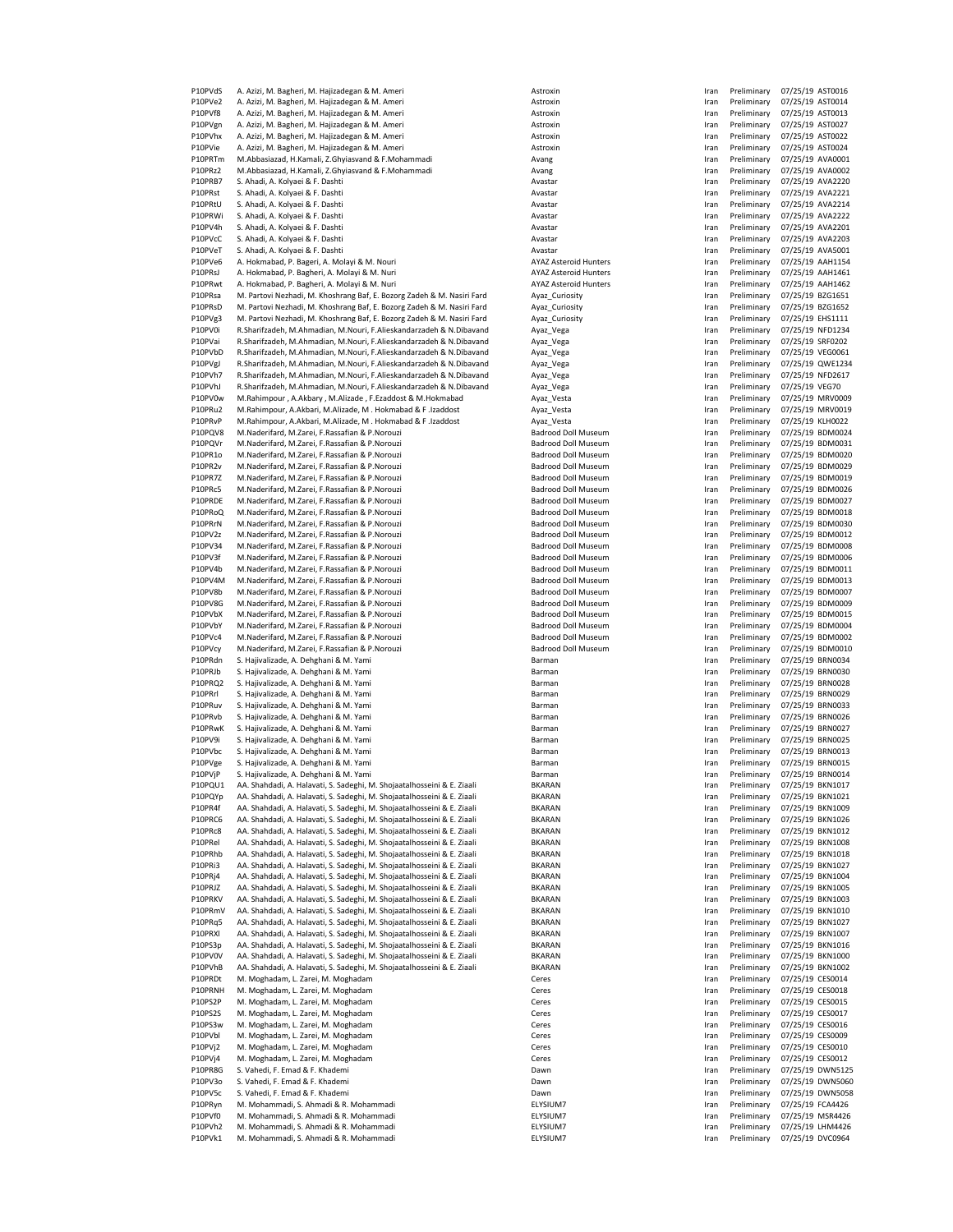| P10PVdS            | A. Azizi, M. Bagheri, M. Hajizadegan & M. Ameri                                  | Astroxin                     | Iran         | Preliminary                | 07/25/19 AST0016                     |
|--------------------|----------------------------------------------------------------------------------|------------------------------|--------------|----------------------------|--------------------------------------|
| P10PVe2            | A. Azizi, M. Bagheri, M. Hajizadegan & M. Ameri                                  | Astroxin                     | Iran         | Preliminary                | 07/25/19 AST0014                     |
| P10PVf8            | A. Azizi, M. Bagheri, M. Hajizadegan & M. Ameri                                  | Astroxin                     | Iran         | Preliminary                | 07/25/19 AST0013                     |
| P10PVgn            | A. Azizi, M. Bagheri, M. Hajizadegan & M. Ameri                                  | Astroxin                     | Iran         | Preliminary                | 07/25/19 AST0027                     |
| P10PVhx            | A. Azizi, M. Bagheri, M. Hajizadegan & M. Ameri                                  | Astroxin                     | Iran         | Preliminary                | 07/25/19 AST0022                     |
| P10PVie            | A. Azizi, M. Bagheri, M. Hajizadegan & M. Ameri                                  | Astroxin                     | Iran         | Preliminary                | 07/25/19 AST0024                     |
| P10PRTm            | M.Abbasiazad, H.Kamali, Z.Ghyiasvand & F.Mohammadi                               |                              | Iran         | Preliminary                | 07/25/19 AVA0001                     |
| P10PRz2            | M.Abbasiazad, H.Kamali, Z.Ghyiasvand & F.Mohammadi                               | Avang                        |              | Preliminary                | 07/25/19 AVA0002                     |
| P10PRB7            |                                                                                  | Avang<br>Avastar             | Iran         |                            | 07/25/19 AVA2220                     |
|                    | S. Ahadi, A. Kolyaei & F. Dashti                                                 |                              | Iran         | Preliminary                |                                      |
| P10PRst            | S. Ahadi, A. Kolyaei & F. Dashti                                                 | Avastar                      | Iran         | Preliminary                | 07/25/19 AVA2221                     |
| P10PRtU            | S. Ahadi, A. Kolyaei & F. Dashti                                                 | Avastar                      | Iran         | Preliminary                | 07/25/19 AVA2214                     |
| P10PRWi            | S. Ahadi, A. Kolyaei & F. Dashti                                                 | Avastar                      | Iran         | Preliminary                | 07/25/19 AVA2222                     |
| P10PV4h            | S. Ahadi, A. Kolyaei & F. Dashti                                                 | Avastar                      | Iran         | Preliminary                | 07/25/19 AVA2201                     |
| P10PVcC            | S. Ahadi, A. Kolyaei & F. Dashti                                                 | Avastar                      | Iran         | Preliminary                | 07/25/19 AVA2203                     |
| P10PVeT            | S. Ahadi, A. Kolyaei & F. Dashti                                                 | Avastar                      | Iran         | Preliminary                | 07/25/19 AVA5001                     |
| P10PVe6            | A. Hokmabad, P. Bageri, A. Molayi & M. Nouri                                     | <b>AYAZ Asteroid Hunters</b> | Iran         | Preliminary                | 07/25/19 AAH1154                     |
| P10PRsJ            | A. Hokmabad, P. Bagheri, A. Molayi & M. Nuri                                     | <b>AYAZ Asteroid Hunters</b> | Iran         | Preliminary                | 07/25/19 AAH1461                     |
| P10PRwt            | A. Hokmabad, P. Bagheri, A. Molayi & M. Nuri                                     | <b>AYAZ Asteroid Hunters</b> | Iran         | Preliminary                | 07/25/19 AAH1462                     |
| P10PRsa            | M. Partovi Nezhadi, M. Khoshrang Baf, E. Bozorg Zadeh & M. Nasiri Fard           | Ayaz_Curiosity               | Iran         | Preliminary                | 07/25/19 BZG1651                     |
| P10PRsD            | M. Partovi Nezhadi, M. Khoshrang Baf, E. Bozorg Zadeh & M. Nasiri Fard           | Ayaz_Curiosity               | Iran         | Preliminary                | 07/25/19 BZG1652                     |
| P10PVg3            | M. Partovi Nezhadi, M. Khoshrang Baf, E. Bozorg Zadeh & M. Nasiri Fard           | Ayaz_Curiosity               | Iran         | Preliminary                | 07/25/19 EHS1111                     |
| P10PV0i            | R.Sharifzadeh, M.Ahmadian, M.Nouri, F.Alieskandarzadeh & N.Dibavand              | Ayaz_Vega                    | Iran         | Preliminary                | 07/25/19 NFD1234                     |
| P10PVai            | R.Sharifzadeh, M.Ahmadian, M.Nouri, F.Alieskandarzadeh & N.Dibavand              | Ayaz_Vega                    | Iran         | Preliminary                | 07/25/19 SRF0202                     |
| P10PVbD            | R.Sharifzadeh, M.Ahmadian, M.Nouri, F.Alieskandarzadeh & N.Dibavand              | Ayaz_Vega                    | Iran         | Preliminary                | 07/25/19 VEG0061                     |
| P10PVgJ            | R.Sharifzadeh, M.Ahmadian, M.Nouri, F.Alieskandarzadeh & N.Dibavand              | Ayaz_Vega                    | Iran         | Preliminary                | 07/25/19 QWE1234                     |
| P10PVh7            | R.Sharifzadeh, M.Ahmadian, M.Nouri, F.Alieskandarzadeh & N.Dibavand              | Ayaz Vega                    | Iran         | Preliminary                | 07/25/19 NFD2617                     |
| P10PVhJ            | R.Sharifzadeh, M.Ahmadian, M.Nouri, F.Alieskandarzadeh & N.Dibavand              | Ayaz_Vega                    | Iran         | Preliminary                | 07/25/19 VEG70                       |
| P10PV0w            | M.Rahimpour, A.Akbary, M.Alizade, F.Ezaddost & M.Hokmabad                        | Ayaz_Vesta                   | Iran         | Preliminary                | 07/25/19 MRV0009                     |
| P10PRu2            | M.Rahimpour, A.Akbari, M.Alizade, M. Hokmabad & F.Izaddost                       | Ayaz_Vesta                   | Iran         | Preliminary                | 07/25/19 MRV0019                     |
| P10PRvP            | M.Rahimpour, A.Akbari, M.Alizade, M. Hokmabad & F.Izaddost                       | Ayaz_Vesta                   | Iran         | Preliminary                | 07/25/19 KLH0022                     |
| P10PQV8            | M.Naderifard, M.Zarei, F.Rassafian & P.Norouzi                                   | <b>Badrood Doll Museum</b>   | Iran         | Preliminary                | 07/25/19 BDM0024                     |
| P10PQVr            | M.Naderifard, M.Zarei, F.Rassafian & P.Norouzi                                   | <b>Badrood Doll Museum</b>   | Iran         | Preliminary                | 07/25/19 BDM0031                     |
| P10PR1o            | M.Naderifard, M.Zarei, F.Rassafian & P.Norouzi                                   | <b>Badrood Doll Museum</b>   | Iran         | Preliminary                | 07/25/19 BDM0020                     |
| P10PR2v            | M.Naderifard, M.Zarei, F.Rassafian & P.Norouzi                                   | <b>Badrood Doll Museum</b>   | Iran         | Preliminary                | 07/25/19 BDM0029                     |
| P10PR7Z            | M.Naderifard, M.Zarei, F.Rassafian & P.Norouzi                                   | Badrood Doll Museum          | Iran         | Preliminary                | 07/25/19 BDM0019                     |
| P10PRc5            | M.Naderifard, M.Zarei, F.Rassafian & P.Norouzi                                   | <b>Badrood Doll Museum</b>   | Iran         | Preliminary                | 07/25/19 BDM0026                     |
| P10PRDE            | M.Naderifard, M.Zarei, F.Rassafian & P.Norouzi                                   | <b>Badrood Doll Museum</b>   | Iran         | Preliminary                | 07/25/19 BDM0027                     |
| P10PRoQ            | M.Naderifard, M.Zarei, F.Rassafian & P.Norouzi                                   | Badrood Doll Museum          | Iran         | Preliminary                | 07/25/19 BDM0018                     |
| P10PRrN            | M.Naderifard, M.Zarei, F.Rassafian & P.Norouzi                                   | Badrood Doll Museum          | Iran         | Preliminary                | 07/25/19 BDM0030                     |
| P10PV2z            | M.Naderifard, M.Zarei, F.Rassafian & P.Norouzi                                   | <b>Badrood Doll Museum</b>   | Iran         | Preliminary                | 07/25/19 BDM0012                     |
| P10PV34            | M.Naderifard, M.Zarei, F.Rassafian & P.Norouzi                                   | <b>Badrood Doll Museum</b>   | Iran         | Preliminary                | 07/25/19 BDM0008                     |
| P10PV3f            | M.Naderifard, M.Zarei, F.Rassafian & P.Norouzi                                   | <b>Badrood Doll Museum</b>   |              | Preliminary                | 07/25/19 BDM0006                     |
|                    |                                                                                  |                              | Iran         |                            |                                      |
| P10PV4b            | M.Naderifard, M.Zarei, F.Rassafian & P.Norouzi                                   | <b>Badrood Doll Museum</b>   | Iran         | Preliminary                | 07/25/19 BDM0011                     |
| P10PV4M            | M.Naderifard, M.Zarei, F.Rassafian & P.Norouzi                                   | <b>Badrood Doll Museum</b>   | Iran         | Preliminary                | 07/25/19 BDM0013                     |
| P10PV8b            | M.Naderifard, M.Zarei, F.Rassafian & P.Norouzi                                   | Badrood Doll Museum          | Iran         | Preliminary                | 07/25/19 BDM0007                     |
| P10PV8G            | M.Naderifard, M.Zarei, F.Rassafian & P.Norouzi                                   | Badrood Doll Museum          | Iran         | Preliminary                | 07/25/19 BDM0009                     |
| P10PVbX            | M.Naderifard, M.Zarei, F.Rassafian & P.Norouzi                                   | Badrood Doll Museum          | Iran         | Preliminary                | 07/25/19 BDM0015                     |
| P10PVbY            | M.Naderifard, M.Zarei, F.Rassafian & P.Norouzi                                   | <b>Badrood Doll Museum</b>   | Iran         | Preliminary                | 07/25/19 BDM0004                     |
| P10PVc4            | M.Naderifard, M.Zarei, F.Rassafian & P.Norouzi                                   | <b>Badrood Doll Museum</b>   | Iran         | Preliminary                | 07/25/19 BDM0002                     |
| P10PVcy            | M.Naderifard, M.Zarei, F.Rassafian & P.Norouzi                                   | <b>Badrood Doll Museum</b>   | Iran         | Preliminary                | 07/25/19 BDM0010                     |
| P10PRdn            | S. Hajivalizade, A. Dehghani & M. Yami                                           | Barman                       | Iran         | Preliminary                | 07/25/19 BRN0034                     |
| P10PRJb            | S. Hajivalizade, A. Dehghani & M. Yami                                           | Barman                       | Iran         | Preliminary                | 07/25/19 BRN0030                     |
| P10PRQ2            | S. Hajivalizade, A. Dehghani & M. Yami                                           | Barman                       | Iran         | Preliminary                | 07/25/19 BRN0028                     |
| P10PRrl            | S. Hajivalizade, A. Dehghani & M. Yami                                           | Barman                       | Iran         | Preliminary                | 07/25/19 BRN0029                     |
| P10PRuv            | S. Hajivalizade, A. Dehghani & M. Yami                                           | Barman                       | Iran         | Preliminary                | 07/25/19 BRN0033                     |
| P10PRvb            | S. Hajivalizade, A. Dehghani & M. Yami                                           | Barman                       | Iran         | Preliminary                | 07/25/19 BRN0026                     |
| P10PRwK            | S. Hajivalizade, A. Dehghani & M. Yami                                           | Barman                       | Iran         | Preliminary                | 07/25/19 BRN0027                     |
| P10PV9i            | S. Hajivalizade, A. Dehghani & M. Yami                                           | Barman                       | Iran         | Preliminary                | 07/25/19 BRN0025                     |
| P10PVbc            | S. Hajivalizade, A. Dehghani & M. Yami                                           | Barman                       | Iran         | Preliminary                | 07/25/19 BRN0013                     |
| P10PVge            | S. Hajivalizade, A. Dehghani & M. Yami                                           | Barman                       | Iran         | Preliminary                | 07/25/19 BRN0015                     |
| P10PVjP            | S. Hajivalizade, A. Dehghani & M. Yami                                           | Barman                       | Iran         | Preliminary                | 07/25/19 BRN0014                     |
| P10PQU1            | AA. Shahdadi, A. Halavati, S. Sadeghi, M. Shojaatalhosseini & E. Ziaali          | BKARAN                       | Iran         | Preliminary                | 07/25/19 BKN1017                     |
| P10PQYp            | AA. Shahdadi, A. Halavati, S. Sadeghi, M. Shojaatalhosseini & E. Ziaali          | <b>BKARAN</b>                | Iran         | Preliminary                | 07/25/19 BKN1021                     |
| P10PR4f            | AA. Shahdadi, A. Halavati, S. Sadeghi, M. Shojaatalhosseini & E. Ziaali          | <b>BKARAN</b>                | Iran         | Preliminary                | 07/25/19 BKN1009                     |
| P10PRC6            | AA. Shahdadi, A. Halavati, S. Sadeghi, M. Shojaatalhosseini & E. Ziaali          | <b>BKARAN</b>                | Iran         | Preliminary                | 07/25/19 BKN1026                     |
| P10PRc8            | AA. Shahdadi, A. Halavati, S. Sadeghi, M. Shojaatalhosseini & E. Ziaali          | <b>BKARAN</b>                | Iran         | Preliminary                | 07/25/19 BKN1012                     |
| P10PRel            | AA. Shahdadi, A. Halavati, S. Sadeghi, M. Shojaatalhosseini & E. Ziaali          | <b>BKARAN</b>                | Iran         | Preliminary                | 07/25/19 BKN1008                     |
| P10PRhb            | AA. Shahdadi, A. Halavati, S. Sadeghi, M. Shojaatalhosseini & E. Ziaali          | <b>BKARAN</b>                | Iran         | Preliminary                | 07/25/19 BKN1018                     |
| P10PRi3            | AA. Shahdadi, A. Halavati, S. Sadeghi, M. Shojaatalhosseini & E. Ziaali          | <b>BKARAN</b>                | Iran         | Preliminary                | 07/25/19 BKN1027                     |
| P10PRj4            | AA. Shahdadi, A. Halavati, S. Sadeghi, M. Shojaatalhosseini & E. Ziaali          | <b>BKARAN</b>                | Iran         | Preliminary                | 07/25/19 BKN1004                     |
| P10PRJZ            | AA. Shahdadi, A. Halavati, S. Sadeghi, M. Shojaatalhosseini & E. Ziaali          | <b>BKARAN</b>                | Iran         | Preliminary                | 07/25/19 BKN1005                     |
| P10PRKV            | AA. Shahdadi, A. Halavati, S. Sadeghi, M. Shojaatalhosseini & E. Ziaali          | <b>BKARAN</b>                | Iran         | Preliminary                | 07/25/19 BKN1003                     |
| P10PRmV            | AA. Shahdadi, A. Halavati, S. Sadeghi, M. Shojaatalhosseini & E. Ziaali          | <b>BKARAN</b>                | Iran         | Preliminary                | 07/25/19 BKN1010                     |
| P10PRq5            | AA. Shahdadi, A. Halavati, S. Sadeghi, M. Shojaatalhosseini & E. Ziaali          | <b>BKARAN</b>                | Iran         | Preliminary                | 07/25/19 BKN1027                     |
| P10PRXI            | AA. Shahdadi, A. Halavati, S. Sadeghi, M. Shojaatalhosseini & E. Ziaali          | BKARAN                       | Iran         | Preliminary                | 07/25/19 BKN1007                     |
| P10PS3p            | AA. Shahdadi, A. Halavati, S. Sadeghi, M. Shojaatalhosseini & E. Ziaali          | <b>BKARAN</b>                | Iran         | Preliminary                | 07/25/19 BKN1016                     |
| P10PV0V            | AA. Shahdadi, A. Halavati, S. Sadeghi, M. Shojaatalhosseini & E. Ziaali          | <b>BKARAN</b>                | Iran         | Preliminary                | 07/25/19 BKN1000                     |
| P10PVhB            | AA. Shahdadi, A. Halavati, S. Sadeghi, M. Shojaatalhosseini & E. Ziaali          | <b>BKARAN</b>                | Iran         | Preliminary                | 07/25/19 BKN1002                     |
| P10PRDt            | M. Moghadam, L. Zarei, M. Moghadam                                               | Ceres                        | Iran         | Preliminary                | 07/25/19 CES0014                     |
| P10PRNH            | M. Moghadam, L. Zarei, M. Moghadam                                               | Ceres                        | Iran         | Preliminary                | 07/25/19 CES0018                     |
| P10PS2P            | M. Moghadam, L. Zarei, M. Moghadam                                               | Ceres                        | Iran         | Preliminary                | 07/25/19 CES0015                     |
| P10PS2S            | M. Moghadam, L. Zarei, M. Moghadam                                               | Ceres                        | Iran         | Preliminary                | 07/25/19 CES0017                     |
| P10PS3w            | M. Moghadam, L. Zarei, M. Moghadam                                               | Ceres                        | Iran         | Preliminary                | 07/25/19 CES0016                     |
| P10PVbl            | M. Moghadam, L. Zarei, M. Moghadam                                               | Ceres                        | Iran         | Preliminary                | 07/25/19 CES0009                     |
| P10PVj2            | M. Moghadam, L. Zarei, M. Moghadam                                               | Ceres                        | Iran         | Preliminary                | 07/25/19 CES0010                     |
| P10PVj4            | M. Moghadam, L. Zarei, M. Moghadam                                               | Ceres                        | Iran         | Preliminary                | 07/25/19 CES0012                     |
| P10PR8G            | S. Vahedi, F. Emad & F. Khademi                                                  | Dawn                         | Iran         | Preliminary                | 07/25/19 DWN5125                     |
| P10PV3o            | S. Vahedi, F. Emad & F. Khademi                                                  | Dawn                         | Iran         | Preliminary                | 07/25/19 DWN5060                     |
| P10PV5c            | S. Vahedi, F. Emad & F. Khademi                                                  | Dawn                         | Iran         | Preliminary                |                                      |
| P10PRyn            | M. Mohammadi, S. Ahmadi & R. Mohammadi                                           | ELYSIUM7                     |              | Preliminary                | 07/25/19 DWN5058<br>07/25/19 FCA4426 |
|                    |                                                                                  |                              | Iran         |                            |                                      |
| P10PVf0<br>P10PVh2 | M. Mohammadi, S. Ahmadi & R. Mohammadi<br>M. Mohammadi, S. Ahmadi & R. Mohammadi | ELYSIUM7<br>ELYSIUM7         | Iran         | Preliminary<br>Preliminary | 07/25/19 MSR4426<br>07/25/19 LHM4426 |
|                    |                                                                                  | ELYSIUM7                     | Iran<br>Iran | Preliminary                | 07/25/19 DVC0964                     |
| P10PVk1            | M. Mohammadi, S. Ahmadi & R. Mohammadi                                           |                              |              |                            |                                      |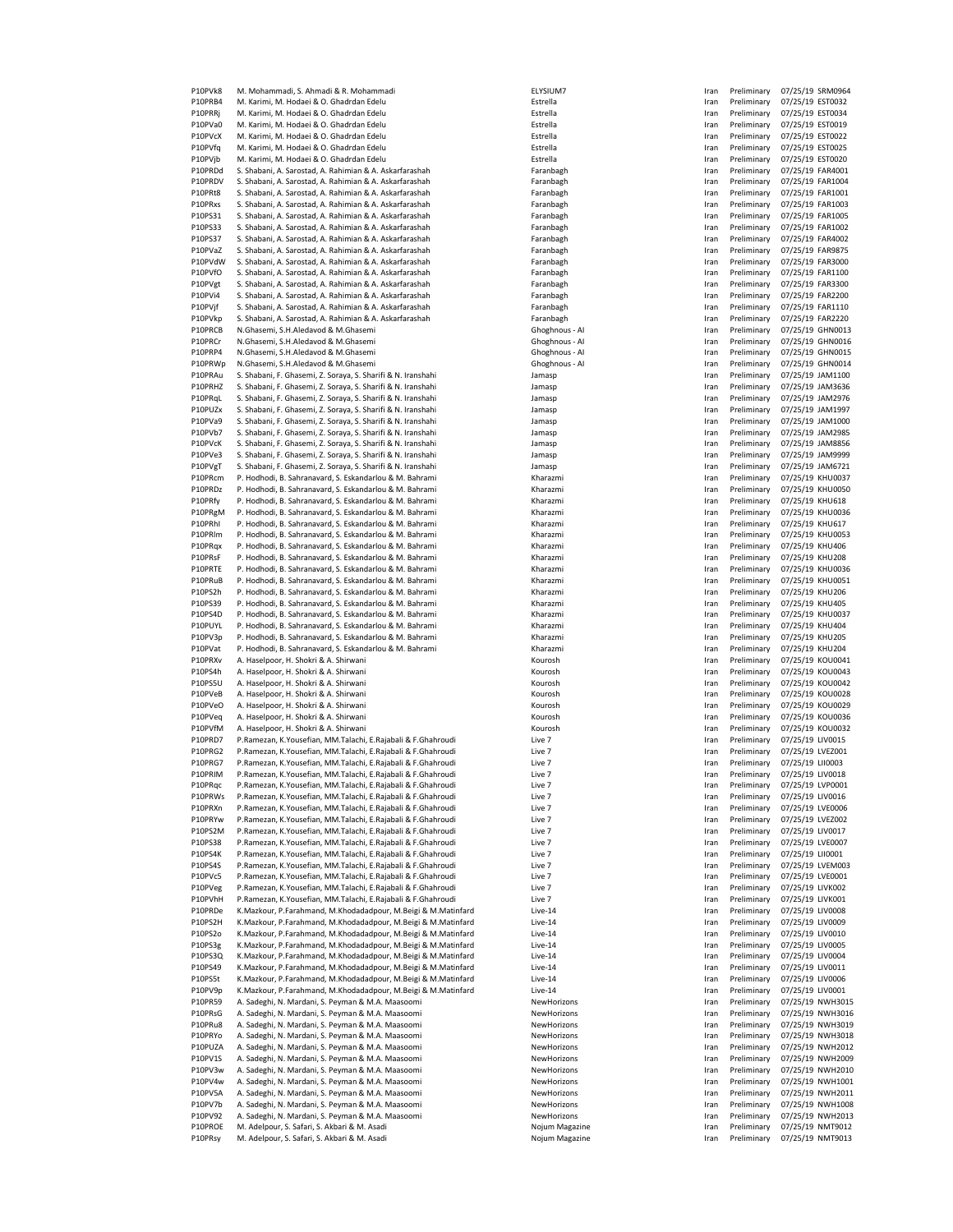| P10PVk8            | M. Mohammadi, S. Ahmadi & R. Mohammadi                                                       | ELYSIUM7                         | Iran         | Preliminary                | 07/25/19 SRM0964                     |
|--------------------|----------------------------------------------------------------------------------------------|----------------------------------|--------------|----------------------------|--------------------------------------|
| P10PRB4            | M. Karimi, M. Hodaei & O. Ghadrdan Edelu                                                     | Estrella                         | Iran         | Preliminary                | 07/25/19 EST0032                     |
| P10PRRj            | M. Karimi, M. Hodaei & O. Ghadrdan Edelu                                                     | Estrella                         | Iran         | Preliminary                | 07/25/19 EST0034                     |
| P10PVa0            | M. Karimi, M. Hodaei & O. Ghadrdan Edelu                                                     | Estrella                         | Iran         | Preliminary                | 07/25/19 EST0019                     |
| P10PVcX            | M. Karimi, M. Hodaei & O. Ghadrdan Edelu                                                     | Estrella                         | Iran         | Preliminary                | 07/25/19 EST0022                     |
| P10PVfq            | M. Karimi, M. Hodaei & O. Ghadrdan Edelu                                                     | Estrella                         | Iran         | Preliminary                | 07/25/19 EST0025                     |
|                    | M. Karimi, M. Hodaei & O. Ghadrdan Edelu                                                     |                                  |              |                            |                                      |
| P10PVjb            |                                                                                              | Estrella                         | Iran         | Preliminary                | 07/25/19 EST0020                     |
| P10PRDd            | S. Shabani, A. Sarostad, A. Rahimian & A. Askarfarashah                                      | Faranbagh                        | Iran         | Preliminary                | 07/25/19 FAR4001                     |
| P10PRDV            | S. Shabani, A. Sarostad, A. Rahimian & A. Askarfarashah                                      | Faranbagh                        | Iran         | Preliminary                | 07/25/19 FAR1004                     |
| P10PRt8            | S. Shabani, A. Sarostad, A. Rahimian & A. Askarfarashah                                      | Faranbagh                        | Iran         | Preliminary                | 07/25/19 FAR1001                     |
| P10PRxs            | S. Shabani, A. Sarostad, A. Rahimian & A. Askarfarashah                                      | Faranbagh                        | Iran         | Preliminary                | 07/25/19 FAR1003                     |
| P10PS31            | S. Shabani, A. Sarostad, A. Rahimian & A. Askarfarashah                                      | Faranbagh                        | Iran         | Preliminary                | 07/25/19 FAR1005                     |
| P10PS33            | S. Shabani, A. Sarostad, A. Rahimian & A. Askarfarashah                                      | Faranbagh                        | Iran         | Preliminary                | 07/25/19 FAR1002                     |
| P10PS37            | S. Shabani, A. Sarostad, A. Rahimian & A. Askarfarashah                                      | Faranbagh                        | Iran         | Preliminary                | 07/25/19 FAR4002                     |
|                    |                                                                                              |                                  |              | Preliminary                |                                      |
| P10PVaZ            | S. Shabani, A. Sarostad, A. Rahimian & A. Askarfarashah                                      | Faranbagh                        | Iran         |                            | 07/25/19 FAR9875                     |
| P10PVdW            | S. Shabani, A. Sarostad, A. Rahimian & A. Askarfarashah                                      | Faranbagh                        | Iran         | Preliminary                | 07/25/19 FAR3000                     |
| P10PVfO            | S. Shabani, A. Sarostad, A. Rahimian & A. Askarfarashah                                      | Faranbagh                        | Iran         | Preliminary                | 07/25/19 FAR1100                     |
| P10PVgt            | S. Shabani, A. Sarostad, A. Rahimian & A. Askarfarashah                                      | Faranbagh                        | Iran         | Preliminary                | 07/25/19 FAR3300                     |
| P10PVi4            | S. Shabani, A. Sarostad, A. Rahimian & A. Askarfarashah                                      | Faranbagh                        | Iran         | Preliminary                | 07/25/19 FAR2200                     |
| P10PVjf            | S. Shabani, A. Sarostad, A. Rahimian & A. Askarfarashah                                      | Faranbagh                        | Iran         | Preliminary                | 07/25/19 FAR1110                     |
| P10PVkp            | S. Shabani, A. Sarostad, A. Rahimian & A. Askarfarashah                                      | Faranbagh                        |              | Preliminary                | 07/25/19 FAR2220                     |
|                    |                                                                                              |                                  | Iran         |                            |                                      |
| P10PRCB            | N.Ghasemi, S.H.Aledavod & M.Ghasemi                                                          | Ghoghnous - Al                   | Iran         | Preliminary                | 07/25/19 GHN0013                     |
| P10PRCr            | N.Ghasemi, S.H.Aledavod & M.Ghasemi                                                          | Ghoghnous - Al                   | Iran         | Preliminary                | 07/25/19 GHN0016                     |
| P10PRP4            | N.Ghasemi, S.H.Aledavod & M.Ghasemi                                                          | Ghoghnous - Al                   | Iran         | Preliminary                | 07/25/19 GHN0015                     |
| P10PRWp            | N.Ghasemi, S.H.Aledavod & M.Ghasemi                                                          | Ghoghnous - Al                   | Iran         | Preliminary                | 07/25/19 GHN0014                     |
| P10PRAu            | S. Shabani, F. Ghasemi, Z. Soraya, S. Sharifi & N. Iranshahi                                 | Jamasp                           | Iran         | Preliminary                | 07/25/19 JAM1100                     |
| P10PRHZ            | S. Shabani, F. Ghasemi, Z. Soraya, S. Sharifi & N. Iranshahi                                 | Jamasp                           | Iran         | Preliminary                | 07/25/19 JAM3636                     |
|                    |                                                                                              |                                  |              |                            |                                      |
| P10PRqL            | S. Shabani, F. Ghasemi, Z. Soraya, S. Sharifi & N. Iranshahi                                 | Jamasp                           | Iran         | Preliminary                | 07/25/19 JAM2976                     |
| P10PUZx            | S. Shabani, F. Ghasemi, Z. Soraya, S. Sharifi & N. Iranshahi                                 | Jamasp                           | Iran         | Preliminary                | 07/25/19 JAM1997                     |
| P10PVa9            | S. Shabani, F. Ghasemi, Z. Soraya, S. Sharifi & N. Iranshahi                                 | Jamasp                           | Iran         | Preliminary                | 07/25/19 JAM1000                     |
| P10PVb7            | S. Shabani, F. Ghasemi, Z. Soraya, S. Sharifi & N. Iranshahi                                 | Jamasp                           | Iran         | Preliminary                | 07/25/19 JAM2985                     |
| P10PVcK            | S. Shabani, F. Ghasemi, Z. Soraya, S. Sharifi & N. Iranshahi                                 | Jamasp                           | Iran         | Preliminary                | 07/25/19 JAM8856                     |
|                    |                                                                                              |                                  |              |                            |                                      |
| P10PVe3            | S. Shabani, F. Ghasemi, Z. Soraya, S. Sharifi & N. Iranshahi                                 | Jamasp                           | Iran         | Preliminary                | 07/25/19 JAM9999                     |
| P10PVgT            | S. Shabani, F. Ghasemi, Z. Soraya, S. Sharifi & N. Iranshahi                                 | Jamasp                           | Iran         | Preliminary                | 07/25/19 JAM6721                     |
| P10PRcm            | P. Hodhodi, B. Sahranavard, S. Eskandarlou & M. Bahrami                                      | Kharazmi                         | Iran         | Preliminary                | 07/25/19 KHU0037                     |
| P10PRDz            | P. Hodhodi, B. Sahranavard, S. Eskandarlou & M. Bahrami                                      | Kharazmi                         | Iran         | Preliminary                | 07/25/19 KHU0050                     |
| P10PRfy            | P. Hodhodi, B. Sahranavard, S. Eskandarlou & M. Bahrami                                      | Kharazmi                         | Iran         | Preliminary                | 07/25/19 KHU618                      |
| P10PRgM            | P. Hodhodi, B. Sahranavard, S. Eskandarlou & M. Bahrami                                      | Kharazmi                         | Iran         | Preliminary                | 07/25/19 KHU0036                     |
|                    |                                                                                              |                                  |              |                            |                                      |
| P10PRhI            | P. Hodhodi, B. Sahranavard, S. Eskandarlou & M. Bahrami                                      | Kharazmi                         | Iran         | Preliminary                | 07/25/19 KHU617                      |
| P10PRIm            | P. Hodhodi, B. Sahranavard, S. Eskandarlou & M. Bahrami                                      | Kharazmi                         | Iran         | Preliminary                | 07/25/19 KHU0053                     |
| P10PRqx            | P. Hodhodi, B. Sahranavard, S. Eskandarlou & M. Bahrami                                      | Kharazmi                         | Iran         | Preliminary                | 07/25/19 KHU406                      |
| P10PRsF            | P. Hodhodi, B. Sahranavard, S. Eskandarlou & M. Bahrami                                      | Kharazmi                         | Iran         | Preliminary                | 07/25/19 KHU208                      |
| P10PRTE            | P. Hodhodi, B. Sahranavard, S. Eskandarlou & M. Bahrami                                      | Kharazmi                         | Iran         | Preliminary                | 07/25/19 KHU0036                     |
| P10PRuB            | P. Hodhodi, B. Sahranavard, S. Eskandarlou & M. Bahrami                                      | Kharazmi                         | Iran         | Preliminary                | 07/25/19 KHU0051                     |
|                    |                                                                                              |                                  |              |                            |                                      |
| P10PS2h            | P. Hodhodi, B. Sahranavard, S. Eskandarlou & M. Bahrami                                      | Kharazmi                         | Iran         | Preliminary                | 07/25/19 KHU206                      |
| P10PS39            | P. Hodhodi, B. Sahranavard, S. Eskandarlou & M. Bahrami                                      | Kharazmi                         | Iran         | Preliminary                | 07/25/19 KHU405                      |
| P10PS4D            | P. Hodhodi, B. Sahranavard, S. Eskandarlou & M. Bahrami                                      | Kharazmi                         | Iran         | Preliminary                | 07/25/19 KHU0037                     |
| P10PUYL            | P. Hodhodi, B. Sahranavard, S. Eskandarlou & M. Bahrami                                      | Kharazmi                         | Iran         | Preliminary                | 07/25/19 KHU404                      |
| P10PV3p            | P. Hodhodi, B. Sahranavard, S. Eskandarlou & M. Bahrami                                      | Kharazmi                         | Iran         | Preliminary                | 07/25/19 KHU205                      |
| P10PVat            | P. Hodhodi, B. Sahranavard, S. Eskandarlou & M. Bahrami                                      | Kharazmi                         | Iran         | Preliminary                | 07/25/19 KHU204                      |
|                    |                                                                                              |                                  |              |                            |                                      |
| P10PRXv            | A. Haselpoor, H. Shokri & A. Shirwani                                                        | Kourosh                          | Iran         | Preliminary                | 07/25/19 KOU0041                     |
| P10PS4h            | A. Haselpoor, H. Shokri & A. Shirwani                                                        | Kourosh                          | Iran         | Preliminary                | 07/25/19 KOU0043                     |
| P10PS5U            | A. Haselpoor, H. Shokri & A. Shirwani                                                        | Kourosh                          | Iran         | Preliminary                | 07/25/19 KOU0042                     |
| P10PVeB            | A. Haselpoor, H. Shokri & A. Shirwani                                                        | Kourosh                          |              | Preliminary                |                                      |
|                    |                                                                                              |                                  | Iran         |                            | 07/25/19 KOU0028                     |
|                    |                                                                                              |                                  |              |                            |                                      |
| P10PVeO            | A. Haselpoor, H. Shokri & A. Shirwani                                                        | Kourosh                          | Iran         | Preliminary                | 07/25/19 KOU0029                     |
| P10PVeq            | A. Haselpoor, H. Shokri & A. Shirwani                                                        | Kourosh                          | Iran         | Preliminary                | 07/25/19 KOU0036                     |
| P10PVfM            | A. Haselpoor, H. Shokri & A. Shirwani                                                        | Kourosh                          | Iran         | Preliminary                | 07/25/19 KOU0032                     |
| P10PRD7            | P.Ramezan, K.Yousefian, MM.Talachi, E.Rajabali & F.Ghahroudi                                 | Live 7                           | Iran         | Preliminary                | 07/25/19 LIV0015                     |
| P10PRG2            | P.Ramezan, K.Yousefian, MM.Talachi, E.Rajabali & F.Ghahroudi                                 | Live 7                           | Iran         | Preliminary                | 07/25/19 LVEZ001                     |
| P10PRG7            | P.Ramezan, K.Yousefian, MM.Talachi, E.Rajabali & F.Ghahroudi                                 | Live 7                           | Iran         | Preliminary                | 07/25/19 LII0003                     |
|                    |                                                                                              |                                  |              |                            |                                      |
| P10PRIM            | P.Ramezan, K.Yousefian, MM.Talachi, E.Rajabali & F.Ghahroudi                                 | Live 7                           | Iran         | Preliminary                | 07/25/19 LIV0018                     |
| P10PRqc            | P.Ramezan, K.Yousefian, MM.Talachi, E.Rajabali & F.Ghahroudi                                 | Live 7                           | iran         | Preliminary                | 07/25/19 LVP0001                     |
| P10PRWs            | P.Ramezan, K.Yousefian, MM.Talachi, E.Rajabali & F.Ghahroudi                                 | Live 7                           | Iran         | Preliminary                | 07/25/19 LIV0016                     |
| P10PRXn            | P.Ramezan, K.Yousefian, MM.Talachi, E.Rajabali & F.Ghahroudi                                 | Live 7                           | Iran         | Preliminary                | 07/25/19 LVE0006                     |
| P10PRYw            | P.Ramezan, K.Yousefian, MM.Talachi, E.Rajabali & F.Ghahroudi                                 | Live 7                           | Iran         | Preliminary                | 07/25/19 LVEZ002                     |
| P10PS2M            | P.Ramezan, K.Yousefian, MM.Talachi, E.Rajabali & F.Ghahroudi                                 | Live 7                           | Iran         | Preliminary                | 07/25/19 LIV0017                     |
| P10PS38            | P.Ramezan, K.Yousefian, MM.Talachi, E.Rajabali & F.Ghahroudi                                 | Live 7                           | Iran         | Preliminary                | 07/25/19 LVE0007                     |
| P10PS4K            | P.Ramezan, K.Yousefian, MM.Talachi, E.Rajabali & F.Ghahroudi                                 | Live 7                           | Iran         | Preliminary                | 07/25/19 LII0001                     |
|                    |                                                                                              |                                  |              |                            |                                      |
| P10PS4S            | P.Ramezan, K.Yousefian, MM.Talachi, E.Rajabali & F.Ghahroudi                                 | Live 7                           | Iran         | Preliminary                | 07/25/19 LVEM003                     |
| P10PVc5            | P.Ramezan, K.Yousefian, MM.Talachi, E.Rajabali & F.Ghahroudi                                 | Live 7                           | Iran         | Preliminary                | 07/25/19 LVE0001                     |
| P10PVeg            | P.Ramezan, K.Yousefian, MM.Talachi, E.Rajabali & F.Ghahroudi                                 | Live 7                           | Iran         | Preliminary                | 07/25/19 LIVK002                     |
| P10PVhH            | P.Ramezan, K.Yousefian, MM.Talachi, E.Rajabali & F.Ghahroudi                                 | Live 7                           | Iran         | Preliminary                | 07/25/19 LIVK001                     |
| P10PRDe            | K.Mazkour, P.Farahmand, M.Khodadadpour, M.Beigi & M.Matinfard                                | Live-14                          | Iran         | Preliminary                | 07/25/19 LIV0008                     |
| P10PS2H            | K.Mazkour, P.Farahmand, M.Khodadadpour, M.Beigi & M.Matinfard                                | Live-14                          | Iran         | Preliminary                | 07/25/19 LIV0009                     |
|                    |                                                                                              |                                  |              |                            |                                      |
| P10PS2o            | K.Mazkour, P.Farahmand, M.Khodadadpour, M.Beigi & M.Matinfard                                | Live-14                          | Iran         | Preliminary                | 07/25/19 LIV0010                     |
| P10PS3g            | K.Mazkour, P.Farahmand, M.Khodadadpour, M.Beigi & M.Matinfard                                | Live-14                          | Iran         | Preliminary                | 07/25/19 LIV0005                     |
| P10PS3Q            | K.Mazkour, P.Farahmand, M.Khodadadpour, M.Beigi & M.Matinfard                                | Live-14                          | Iran         | Preliminary                | 07/25/19 LIV0004                     |
| P10PS49            | K.Mazkour, P.Farahmand, M.Khodadadpour, M.Beigi & M.Matinfard                                | Live-14                          | Iran         | Preliminary                | 07/25/19 LIV0011                     |
| P10PS5t            | K.Mazkour, P.Farahmand, M.Khodadadpour, M.Beigi & M.Matinfard                                | Live-14                          | Iran         | Preliminary                | 07/25/19 LIV0006                     |
| P10PV9p            | K.Mazkour, P.Farahmand, M.Khodadadpour, M.Beigi & M.Matinfard                                | Live-14                          | Iran         | Preliminary                | 07/25/19 LIV0001                     |
| P10PR59            | A. Sadeghi, N. Mardani, S. Peyman & M.A. Maasoomi                                            | NewHorizons                      | Iran         | Preliminary                | 07/25/19 NWH3015                     |
|                    |                                                                                              |                                  |              |                            |                                      |
| P10PRsG            | A. Sadeghi, N. Mardani, S. Peyman & M.A. Maasoomi                                            | NewHorizons                      | Iran         | Preliminary                | 07/25/19 NWH3016                     |
| P10PRu8            | A. Sadeghi, N. Mardani, S. Peyman & M.A. Maasoomi                                            | NewHorizons                      | Iran         | Preliminary                | 07/25/19 NWH3019                     |
| P10PRYo            | A. Sadeghi, N. Mardani, S. Peyman & M.A. Maasoomi                                            | NewHorizons                      | Iran         | Preliminary                | 07/25/19 NWH3018                     |
| P10PUZA            | A. Sadeghi, N. Mardani, S. Peyman & M.A. Maasoomi                                            | NewHorizons                      | Iran         | Preliminary                | 07/25/19 NWH2012                     |
| P10PV1S            | A. Sadeghi, N. Mardani, S. Peyman & M.A. Maasoomi                                            | NewHorizons                      | Iran         | Preliminary                | 07/25/19 NWH2009                     |
| P10PV3w            | A. Sadeghi, N. Mardani, S. Peyman & M.A. Maasoomi                                            | NewHorizons                      | Iran         | Preliminary                | 07/25/19 NWH2010                     |
|                    |                                                                                              |                                  |              |                            |                                      |
| P10PV4w            | A. Sadeghi, N. Mardani, S. Peyman & M.A. Maasoomi                                            | NewHorizons                      | Iran         | Preliminary                | 07/25/19 NWH1001                     |
| P10PV5A            | A. Sadeghi, N. Mardani, S. Peyman & M.A. Maasoomi                                            | NewHorizons                      | Iran         | Preliminary                | 07/25/19 NWH2011                     |
| P10PV7b            | A. Sadeghi, N. Mardani, S. Peyman & M.A. Maasoomi                                            | NewHorizons                      | Iran         | Preliminary                | 07/25/19 NWH1008                     |
| P10PV92            | A. Sadeghi, N. Mardani, S. Peyman & M.A. Maasoomi                                            | NewHorizons                      | Iran         | Preliminary                | 07/25/19 NWH2013                     |
| P10PROE<br>P10PRsy | M. Adelpour, S. Safari, S. Akbari & M. Asadi<br>M. Adelpour, S. Safari, S. Akbari & M. Asadi | Nojum Magazine<br>Nojum Magazine | Iran<br>Iran | Preliminary<br>Preliminary | 07/25/19 NMT9012<br>07/25/19 NMT9013 |

| ELYSIUM7                   |
|----------------------------|
|                            |
| Estrella                   |
| Estrella                   |
|                            |
| Estrella                   |
| Estrella                   |
| Estrella                   |
| Estrella                   |
| Faranbagh                  |
| Faranbagh                  |
| Faranbagh                  |
|                            |
| Faranbagh                  |
| Faranbagh                  |
| Faranbagh                  |
| Faranbagh                  |
| Faranbagh                  |
|                            |
| Faranbagh                  |
| Faranbagh                  |
| Faranbagh                  |
| Faranbagh                  |
| Faranbagh                  |
|                            |
| Faranbagh                  |
| Ghoghnous                  |
| Ghoghnous                  |
| Ghoghnous                  |
| Ghoghnous                  |
|                            |
| Jamasp                     |
| Jamasp                     |
| Jamasp                     |
| Jamasp                     |
| Jamasp                     |
| Jamasp                     |
|                            |
| Jamasp                     |
| Jamasp                     |
| Jamasp                     |
| Kharazmi                   |
| Kharazmi                   |
| Kharazmi                   |
|                            |
| Kharazmi                   |
| Kharazmi                   |
| Kharazmi                   |
| Kharazmi                   |
| Kharazmi                   |
| Kharazmi                   |
|                            |
| Kharazmi                   |
| Kharazmi                   |
| Kharazmi                   |
| Kharazmi                   |
|                            |
|                            |
| Kharazmi                   |
| Kharazmi                   |
| Kharazmi                   |
| Kourosh                    |
| Kourosh                    |
| Kourosh                    |
|                            |
| Kourosh                    |
| Kourosh                    |
| Kourosh                    |
| Kourosh                    |
| Live                       |
| 7                          |
| Live<br>7                  |
| Live<br>7                  |
| Live                       |
| Live<br>7                  |
| Live<br>7                  |
| Live<br>7                  |
| Live                       |
| 7                          |
| Live<br>7                  |
| 7<br>Live                  |
| Live<br>7                  |
| Live<br>7                  |
| Live<br>7                  |
|                            |
| Live<br>7                  |
| Live<br>7                  |
| Live-14                    |
| Live-14                    |
| Live-14                    |
|                            |
| $Live-14$                  |
| $Live-14$                  |
| $Live-14$                  |
| $Live-14$                  |
| Live-14                    |
|                            |
| NewHorizon:<br>NewHorizon: |
|                            |
| NewHorizon:                |
| NewHorizon:                |
| NewHorizon:                |
| NewHorizon:                |
| NewHorizon:                |
|                            |
| NewHorizon:                |
| NewHorizon:                |
| NewHorizon:                |
| NewHorizon:<br>Nojum Maga  |

| Iran         | Preliminary                | 07/25/19             | SRM0964                        |
|--------------|----------------------------|----------------------|--------------------------------|
| Iran         | Preliminary                | 07/25/19             | EST0032                        |
| Iran         | Preliminary                | 07/25/19             | EST0034                        |
| Iran         | Preliminary                | 07/25/19             | EST0019                        |
| Iran         | Preliminary                | 07/25/19             | EST0022                        |
| Iran         | Preliminary                | 07/25/19             | EST0025                        |
| Iran         | Preliminary                | 07/25/19             | EST0020<br>FAR4001             |
| Iran         | Preliminary<br>Preliminary | 07/25/19             |                                |
| Iran<br>Iran | Preliminary                | 07/25/19<br>07/25/19 | FAR1004<br>FAR1001             |
| Iran         | Preliminary                | 07/25/19             | FAR1003                        |
| Iran         | Preliminary                | 07/25/19             | FAR1005                        |
| Iran         | Preliminary                | 07/25/19             | FAR1002                        |
| Iran         | Preliminary                | 07/25/19             | FAR4002                        |
| Iran         | Preliminary                | 07/25/19             | <b>FAR9875</b>                 |
| Iran         | Preliminary                | 07/25/19             | FAR3000                        |
| Iran         | Preliminary                | 07/25/19             | FAR1100                        |
| Iran         | Preliminary                | 07/25/19             | <b>FAR3300</b>                 |
| Iran         | Preliminary                | 07/25/19             | <b>FAR2200</b>                 |
| Iran         | Preliminary                | 07/25/19             | FAR1110                        |
| Iran         | Preliminary                | 07/25/19             | <b>FAR2220</b>                 |
| Iran         | Preliminary                | 07/25/19             | GHN0013                        |
| Iran         | Preliminary                | 07/25/19             | GHN0016                        |
| Iran         | Preliminary                | 07/25/19             | GHN0015                        |
| Iran         | Preliminary                | 07/25/19             | GHN0014                        |
| Iran         | Preliminary                | 07/25/19             | JAM1100                        |
| Iran         | Preliminary                | 07/25/19             | JAM3636                        |
| Iran         | Preliminary                | 07/25/19             | JAM2976                        |
| Iran         | Preliminary                | 07/25/19             | JAM1997                        |
| Iran         | Preliminary                | 07/25/19             | JAM1000                        |
| Iran         | Preliminary                | 07/25/19             | JAM2985                        |
| Iran         | Preliminary                | 07/25/19             | <b>JAM8856</b>                 |
| Iran         | Preliminary                | 07/25/19             | <b>JAM9999</b>                 |
| Iran         | Preliminary                | 07/25/19             | JAM6721                        |
| Iran         | Preliminary                | 07/25/19             | KHU0037                        |
| Iran<br>Iran | Preliminary                | 07/25/19             | KHU0050                        |
|              | Preliminary                | 07/25/19             | <b>KHU618</b>                  |
| Iran         | Preliminary<br>Preliminary | 07/25/19<br>07/25/19 | KHU0036<br>KHU617              |
| Iran<br>Iran | Preliminary                | 07/25/19             | KHU0053                        |
| Iran         | Preliminary                | 07/25/19             | KHU406                         |
| Iran         | Preliminary                | 07/25/19             | <b>KHU208</b>                  |
| Iran         | Preliminary                | 07/25/19             | KHU0036                        |
| Iran         | Preliminary                | 07/25/19             | KHU0051                        |
| Iran         | Preliminary                | 07/25/19             | KHU206                         |
| Iran         | Preliminary                | 07/25/19             | KHU405                         |
| Iran         | Preliminary                | 07/25/19             | KHU0037                        |
| Iran         | Preliminary                | 07/25/19             | KHU404                         |
| Iran         | Preliminary                | 07/25/19             | KHU205                         |
| Iran         | Preliminary                | 07/25/19             | KHU204                         |
| Iran         | Preliminary                | 07/25/19             | KOU0041                        |
| Iran         | Preliminary                | 07/25/19             | KOU0043                        |
| Iran         | Preliminary                | 07/25/19             | KOU0042                        |
| Iran         | Preliminary                | 07/25/19             | KOU0028                        |
| Iran         | Preliminary                | 07/25/19             | KOU0029                        |
| Iran         | Preliminary                | 07/25/19             | KOU0036                        |
| Iran         | Preliminary                | 07/25/19             | KOU0032                        |
| Iran         | Preliminary                | 07/25/19             | LIV0015                        |
| Iran         | Preliminary                | 07/25/19             | <b>LVEZ001</b>                 |
| Iran         | Preliminary                | 07/25/19             | 1110003                        |
| Iran         | Preliminary                | 07/25/19             | LIV0018                        |
| Iran         | Preliminary                | 07/25/19             | LVP0001<br>LIV0016             |
| Iran<br>Iran | Preliminary<br>Preliminary | 07/25/19<br>07/25/19 | <b>LVE0006</b>                 |
| Iran         | Preliminary                | 07/25/19             | LVEZ002                        |
| Iran         | Preliminary                | 07/25/19             | LIV0017                        |
| Iran         | Preliminary                | 07/25/19             | LVE0007                        |
| Iran         | Preliminary                | 07/25/19             | LII0001                        |
| Iran         | Preliminary                | 07/25/19             | LVEM003                        |
| Iran         | Preliminary                | 07/25/19             | LVE0001                        |
| Iran         | Preliminary                | 07/25/19             | LIVK002                        |
| Iran         | Preliminary                | 07/25/19             | LIVK001                        |
| Iran         | Preliminary                | 07/25/19             | LIV0008                        |
| Iran         | Preliminary                | 07/25/19             | LIV0009                        |
| Iran         | Preliminary                | 07/25/19             | LIV0010                        |
| Iran         | Preliminary                | 07/25/19             | LIV0005                        |
| Iran         | Preliminary                | 07/25/19             | LIV0004                        |
| Iran         | Preliminary                | 07/25/19             | LIV0011                        |
| Iran         | Preliminary                | 07/25/19             | LIV0006                        |
| Iran         | Preliminary                | 07/25/19             | LIV0001                        |
| Iran         | Preliminary                | 07/25/19             | <b>NWH301</b>                  |
| Iran         | Preliminary                | 07/25/19             | <b>NWH301</b>                  |
| Iran         | Preliminary                | 07/25/19             | <b>NWH301</b>                  |
| Iran<br>Iran | Preliminary<br>Preliminary | 07/25/19<br>07/25/19 | <b>NWH301</b><br><b>NWH201</b> |
| Iran         | Preliminary                | 07/25/19             | <b>NWH200</b>                  |
| Iran         | Preliminary                | 07/25/19             | <b>NWH201</b>                  |
| Iran         | Preliminary                | 07/25/19             | <b>NWH100</b>                  |
| Iran         | Preliminary                | 07/25/19             | <b>NWH201</b>                  |
| Iran         | Preliminary                | 07/25/19             | NWH100                         |
| Iran         | Preliminary                | 07/25/19             | <b>NWH201</b>                  |
| Iran         | Preliminary                | 07/25/19             | NMT9012                        |
| Iran         | Preliminary                | 07/25/19             | NMT9013                        |
|              |                            |                      |                                |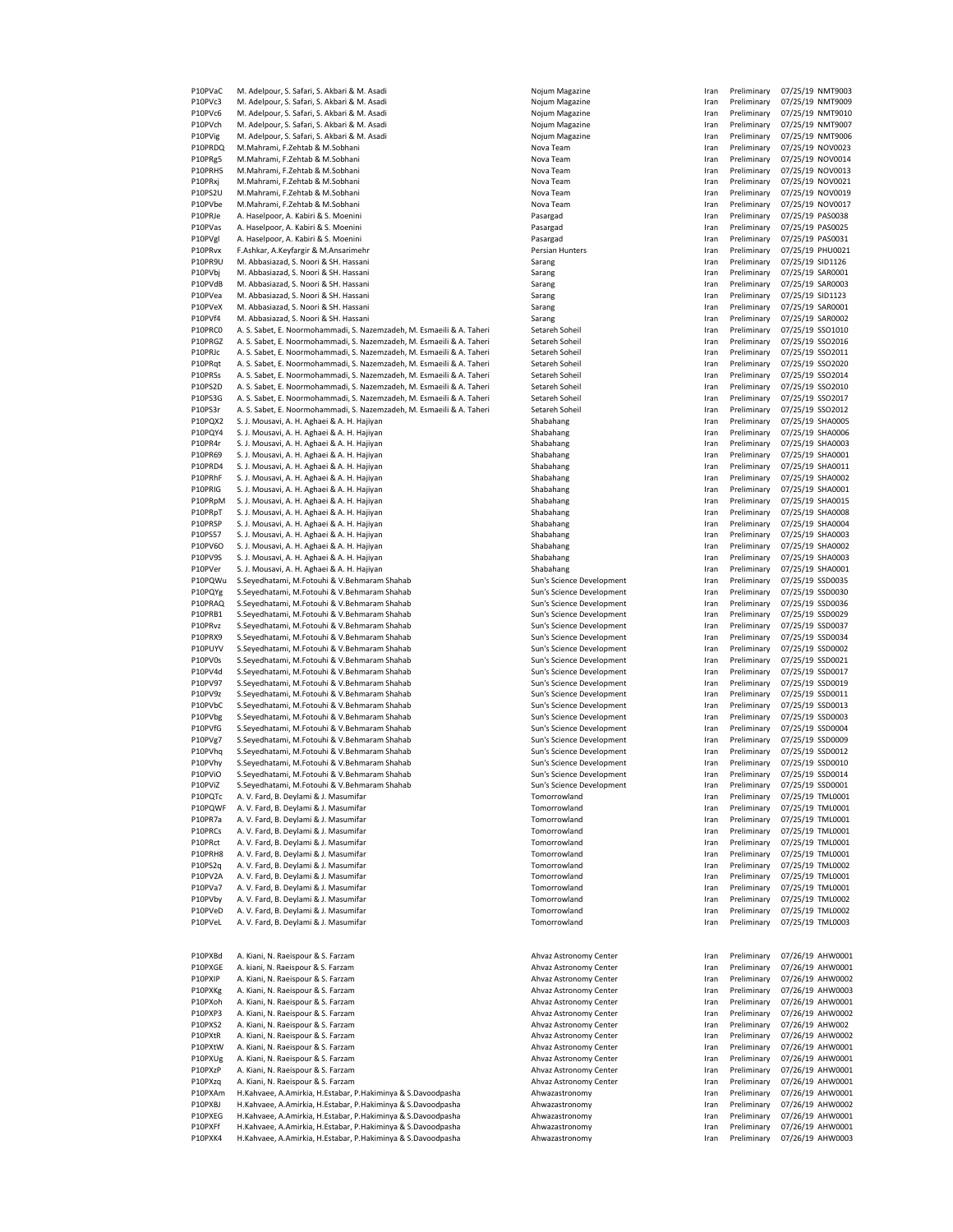| P10PVaC            | M. Adelpour, S. Safari, S. Akbari & M. Asadi                                                                                 | Nojum Magazine                                         | Iran         | Preliminary                | 07/25/19 NMT9003                     |
|--------------------|------------------------------------------------------------------------------------------------------------------------------|--------------------------------------------------------|--------------|----------------------------|--------------------------------------|
| P10PVc3            | M. Adelpour, S. Safari, S. Akbari & M. Asadi                                                                                 | Nojum Magazine                                         | Iran         | Preliminary                | 07/25/19 NMT9009                     |
| P10PVc6            | M. Adelpour, S. Safari, S. Akbari & M. Asadi                                                                                 | Nojum Magazine                                         | Iran         | Preliminary                | 07/25/19 NMT9010                     |
| P10PVch            | M. Adelpour, S. Safari, S. Akbari & M. Asadi                                                                                 | Nojum Magazine                                         | Iran         | Preliminary                | 07/25/19 NMT9007                     |
| P10PVig            | M. Adelpour, S. Safari, S. Akbari & M. Asadi                                                                                 | Nojum Magazine                                         | Iran         | Preliminary                | 07/25/19 NMT9006                     |
| P10PRDQ<br>P10PRg5 | M.Mahrami, F.Zehtab & M.Sobhani<br>M.Mahrami, F.Zehtab & M.Sobhani                                                           | Nova Team<br>Nova Team                                 | Iran         | Preliminary<br>Preliminary | 07/25/19 NOV0023<br>07/25/19 NOV0014 |
| P10PRH5            | M.Mahrami, F.Zehtab & M.Sobhani                                                                                              | Nova Team                                              | Iran<br>Iran | Preliminary                | 07/25/19 NOV0013                     |
| P10PRxj            | M.Mahrami, F.Zehtab & M.Sobhani                                                                                              | Nova Team                                              | Iran         | Preliminary                | 07/25/19 NOV0021                     |
| P10PS2U            | M.Mahrami, F.Zehtab & M.Sobhani                                                                                              | Nova Team                                              | Iran         | Preliminary                | 07/25/19 NOV0019                     |
| P10PVbe            | M.Mahrami, F.Zehtab & M.Sobhani                                                                                              | Nova Team                                              | Iran         | Preliminary                | 07/25/19 NOV0017                     |
| P10PRJe            | A. Haselpoor, A. Kabiri & S. Moenini                                                                                         | Pasargad                                               | Iran         | Preliminary                | 07/25/19 PAS0038                     |
| P10PVas            | A. Haselpoor, A. Kabiri & S. Moenini                                                                                         | Pasargad                                               | Iran         | Preliminary                | 07/25/19 PAS0025                     |
| P10PVgl            | A. Haselpoor, A. Kabiri & S. Moenini                                                                                         | Pasargad                                               | Iran         | Preliminary                | 07/25/19 PAS0031                     |
| P10PRvx            | F.Ashkar, A.Keyfargir & M.Ansarimehr                                                                                         | Persian Hunters                                        | Iran         | Preliminary                | 07/25/19 PHU0021                     |
| P10PR9U            | M. Abbasiazad, S. Noori & SH. Hassani                                                                                        | Sarang                                                 | Iran         | Preliminary                | 07/25/19 SID1126                     |
| P10PVbj            | M. Abbasiazad, S. Noori & SH. Hassani                                                                                        | Sarang                                                 | Iran         | Preliminary                | 07/25/19 SAR0001                     |
| P10PVdB            | M. Abbasiazad, S. Noori & SH. Hassani                                                                                        | Sarang                                                 | Iran         | Preliminary                | 07/25/19 SAR0003                     |
| P10PVea            | M. Abbasiazad, S. Noori & SH. Hassani                                                                                        | Sarang                                                 | Iran         | Preliminary                | 07/25/19 SID1123                     |
| P10PVeX            | M. Abbasiazad, S. Noori & SH. Hassani                                                                                        | Sarang                                                 | Iran         | Preliminary                | 07/25/19 SAR0001                     |
| P10PVf4            | M. Abbasiazad, S. Noori & SH. Hassani                                                                                        | Sarang                                                 | Iran         | Preliminary                | 07/25/19 SAR0002                     |
| P10PRC0            | A. S. Sabet, E. Noormohammadi, S. Nazemzadeh, M. Esmaeili & A. Taheri                                                        | Setareh Soheil                                         | Iran         | Preliminary                | 07/25/19 SSO1010                     |
| P10PRGZ            | A. S. Sabet, E. Noormohammadi, S. Nazemzadeh, M. Esmaeili & A. Taheri                                                        | Setareh Soheil                                         | Iran         | Preliminary                | 07/25/19 SSO2016                     |
| P10PRJc            | A. S. Sabet, E. Noormohammadi, S. Nazemzadeh, M. Esmaeili & A. Taheri                                                        | Setareh Soheil                                         | Iran         | Preliminary                | 07/25/19 SSO2011                     |
| P10PRqt            | A. S. Sabet, E. Noormohammadi, S. Nazemzadeh, M. Esmaeili & A. Taheri                                                        | Setareh Soheil                                         | Iran         | Preliminary                | 07/25/19 SSO2020                     |
| P10PRSs            | A. S. Sabet, E. Noormohammadi, S. Nazemzadeh, M. Esmaeili & A. Taheri                                                        | Setareh Soheil                                         | Iran         | Preliminary                | 07/25/19 SSO2014                     |
| P10PS2D            | A. S. Sabet, E. Noormohammadi, S. Nazemzadeh, M. Esmaeili & A. Taheri                                                        | Setareh Soheil                                         | Iran         | Preliminary                | 07/25/19 SSO2010                     |
| P10PS3G            | A. S. Sabet, E. Noormohammadi, S. Nazemzadeh, M. Esmaeili & A. Taheri                                                        | Setareh Soheil                                         | Iran         | Preliminary                | 07/25/19 SSO2017                     |
| P10PS3r<br>P10PQX2 | A. S. Sabet, E. Noormohammadi, S. Nazemzadeh, M. Esmaeili & A. Taheri<br>S. J. Mousavi, A. H. Aghaei & A. H. Hajiyan         | Setareh Soheil<br>Shabahang                            | Iran         | Preliminary<br>Preliminary | 07/25/19 SSO2012<br>07/25/19 SHA0005 |
| P10PQY4            | S. J. Mousavi, A. H. Aghaei & A. H. Hajiyan                                                                                  | Shabahang                                              | Iran<br>Iran | Preliminary                | 07/25/19 SHA0006                     |
| P10PR4r            | S. J. Mousavi, A. H. Aghaei & A. H. Hajiyan                                                                                  | Shabahang                                              | Iran         | Preliminary                | 07/25/19 SHA0003                     |
| P10PR69            | S. J. Mousavi, A. H. Aghaei & A. H. Hajiyan                                                                                  | Shabahang                                              | Iran         | Preliminary                | 07/25/19 SHA0001                     |
| P10PRD4            | S. J. Mousavi, A. H. Aghaei & A. H. Hajiyan                                                                                  | Shabahang                                              | Iran         | Preliminary                | 07/25/19 SHA0011                     |
| P10PRhF            | S. J. Mousavi, A. H. Aghaei & A. H. Hajiyan                                                                                  | Shabahang                                              | Iran         | Preliminary                | 07/25/19 SHA0002                     |
| P10PRIG            | S. J. Mousavi, A. H. Aghaei & A. H. Hajiyan                                                                                  | Shabahang                                              | Iran         | Preliminary                | 07/25/19 SHA0001                     |
| P10PRpM            | S. J. Mousavi, A. H. Aghaei & A. H. Hajiyan                                                                                  | Shabahang                                              | Iran         | Preliminary                | 07/25/19 SHA0015                     |
| P10PRpT            | S. J. Mousavi, A. H. Aghaei & A. H. Hajiyan                                                                                  | Shabahang                                              | Iran         | Preliminary                | 07/25/19 SHA0008                     |
| P10PRSP            | S. J. Mousavi, A. H. Aghaei & A. H. Hajiyan                                                                                  | Shabahang                                              | Iran         | Preliminary                | 07/25/19 SHA0004                     |
| P10PS57            | S. J. Mousavi, A. H. Aghaei & A. H. Hajiyan                                                                                  | Shabahang                                              | Iran         | Preliminary                | 07/25/19 SHA0003                     |
| P10PV6O            | S. J. Mousavi, A. H. Aghaei & A. H. Hajiyan                                                                                  | Shabahang                                              | Iran         | Preliminary                | 07/25/19 SHA0002                     |
| P10PV9S            | S. J. Mousavi, A. H. Aghaei & A. H. Hajiyan                                                                                  | Shabahang                                              | Iran         | Preliminary                | 07/25/19 SHA0003                     |
| P10PVer            | S. J. Mousavi, A. H. Aghaei & A. H. Hajiyan                                                                                  | Shabahang                                              | Iran         | Preliminary                | 07/25/19 SHA0001                     |
| P10PQWu            | S.Seyedhatami, M.Fotouhi & V.Behmaram Shahab                                                                                 | Sun's Science Development                              | Iran         | Preliminary                | 07/25/19 SSD0035                     |
| P10PQYg            | S.Seyedhatami, M.Fotouhi & V.Behmaram Shahab                                                                                 | Sun's Science Development                              | Iran         | Preliminary                | 07/25/19 SSD0030                     |
| P10PRAQ            | S.Seyedhatami, M.Fotouhi & V.Behmaram Shahab                                                                                 | Sun's Science Development                              | Iran         | Preliminary                | 07/25/19 SSD0036                     |
| P10PRB1            | S.Seyedhatami, M.Fotouhi & V.Behmaram Shahab                                                                                 | Sun's Science Development                              | Iran         | Preliminary                | 07/25/19 SSD0029                     |
| P10PRvz            | S.Seyedhatami, M.Fotouhi & V.Behmaram Shahab                                                                                 | Sun's Science Development                              | Iran         | Preliminary                | 07/25/19 SSD0037                     |
| P10PRX9            | S.Seyedhatami, M.Fotouhi & V.Behmaram Shahab                                                                                 | Sun's Science Development                              | Iran         | Preliminary                | 07/25/19 SSD0034                     |
| P10PUYV            | S.Seyedhatami, M.Fotouhi & V.Behmaram Shahab                                                                                 | Sun's Science Development                              | Iran         | Preliminary                | 07/25/19 SSD0002                     |
| P10PV0s<br>P10PV4d | S.Seyedhatami, M.Fotouhi & V.Behmaram Shahab<br>S.Seyedhatami, M.Fotouhi & V.Behmaram Shahab                                 | Sun's Science Development<br>Sun's Science Development | Iran<br>Iran | Preliminary<br>Preliminary | 07/25/19 SSD0021<br>07/25/19 SSD0017 |
| P10PV97            | S.Seyedhatami, M.Fotouhi & V.Behmaram Shahab                                                                                 | Sun's Science Development                              | Iran         | Preliminary                | 07/25/19 SSD0019                     |
| P10PV9z            | S.Seyedhatami, M.Fotouhi & V.Behmaram Shahab                                                                                 | Sun's Science Development                              | Iran         | Preliminary                | 07/25/19 SSD0011                     |
| P10PVbC            | S.Seyedhatami, M.Fotouhi & V.Behmaram Shahab                                                                                 | Sun's Science Development                              | Iran         | Preliminary                | 07/25/19 SSD0013                     |
| P10PVbg            | S.Seyedhatami, M.Fotouhi & V.Behmaram Shahab                                                                                 | Sun's Science Development                              | Iran         | Preliminary                | 07/25/19 SSD0003                     |
| P10PVfG            | S.Seyedhatami, M.Fotouhi & V.Behmaram Shahab                                                                                 | Sun's Science Development                              | Iran         | Preliminary                | 07/25/19 SSD0004                     |
| P10PVg7            | S.Seyedhatami, M.Fotouhi & V.Behmaram Shahab                                                                                 | Sun's Science Development                              | Iran         | Preliminary                | 07/25/19 SSD0009                     |
| P10PVhq            | S.Seyedhatami, M.Fotouhi & V.Behmaram Shahab                                                                                 | Sun's Science Development                              | Iran         | Preliminary                | 07/25/19 SSD0012                     |
| P10PVhy            | S.Seyedhatami, M.Fotouhi & V.Behmaram Shahab                                                                                 | Sun's Science Development                              | Iran         | Preliminary                | 07/25/19 SSD0010                     |
| P10PViO            | S.Seyedhatami, M.Fotouhi & V.Behmaram Shahab                                                                                 | Sun's Science Development                              | Iran         | Preliminary                | 07/25/19 SSD0014                     |
| P10PViZ            | S.Seyedhatami, M.Fotouhi & V.Behmaram Shahab                                                                                 | Sun's Science Development                              | Iran         | Preliminary                | 07/25/19 SSD0001                     |
| P10PQTc            | A. V. Fard, B. Deylami & J. Masumifar                                                                                        | Tomorrowland                                           | Iran         | Preliminary                | 07/25/19 TML0001                     |
| P10PQWF            | A. V. Fard, B. Deylami & J. Masumifar                                                                                        | Tomorrowland                                           | Iran         | Preliminary                | 07/25/19 TML0001                     |
| P10PR7a            | A. V. Fard, B. Deylami & J. Masumifar                                                                                        | Tomorrowland                                           | Iran         | Preliminary                | 07/25/19 TML0001                     |
| P10PRCs            | A. V. Fard, B. Deylami & J. Masumifar                                                                                        | Tomorrowland                                           | Iran         | Preliminary                | 07/25/19 TML0001                     |
| P10PRct            | A. V. Fard, B. Deylami & J. Masumifar                                                                                        | Tomorrowland                                           | Iran         | Preliminary                | 07/25/19 TML0001                     |
| P10PRH8            | A. V. Fard. B. Devlami & J. Masumifar                                                                                        | Tomorrowland                                           | Iran         | Preliminary                | 07/25/19 TML0001                     |
| P10PS2q<br>P10PV2A | A. V. Fard, B. Deylami & J. Masumifar<br>A. V. Fard, B. Deylami & J. Masumifar                                               | Tomorrowland<br>Tomorrowland                           | Iran<br>Iran | Preliminary<br>Preliminary | 07/25/19 TML0002<br>07/25/19 TML0001 |
| P10PVa7            | A. V. Fard, B. Deylami & J. Masumifar                                                                                        | Tomorrowland                                           | Iran         | Preliminary                | 07/25/19 TML0001                     |
| P10PVby            | A. V. Fard, B. Deylami & J. Masumifar                                                                                        | Tomorrowland                                           | Iran         | Preliminary                | 07/25/19 TML0002                     |
| P10PVeD            | A. V. Fard, B. Deylami & J. Masumifar                                                                                        | Tomorrowland                                           | Iran         | Preliminary                | 07/25/19 TML0002                     |
| P10PVeL            | A. V. Fard, B. Deylami & J. Masumifar                                                                                        | Tomorrowland                                           | Iran         | Preliminary                | 07/25/19 TML0003                     |
|                    |                                                                                                                              |                                                        |              |                            |                                      |
|                    |                                                                                                                              |                                                        |              |                            |                                      |
| P10PXBd            |                                                                                                                              |                                                        |              |                            |                                      |
|                    | A. Kiani, N. Raeispour & S. Farzam                                                                                           | Ahvaz Astronomy Center                                 | Iran         | Preliminary                | 07/26/19 AHW0001                     |
| P10PXGE            | A. kiani, N. Raeispour & S. Farzam                                                                                           | Ahvaz Astronomy Center                                 | Iran         | Preliminary                | 07/26/19 AHW0001                     |
| P10PXIP            | A. Kiani, N. Raeispour & S. Farzam                                                                                           | Ahvaz Astronomy Center                                 | Iran         | Preliminary                | 07/26/19 AHW0002                     |
| P10PXKg            | A. Kiani, N. Raeispour & S. Farzam                                                                                           | Ahvaz Astronomy Center                                 | Iran         | Preliminary                | 07/26/19 AHW0003                     |
| P10PXoh            | A. Kiani, N. Raeispour & S. Farzam                                                                                           | Ahvaz Astronomy Center                                 | Iran         | Preliminary                | 07/26/19 AHW0001                     |
| P10PXP3            | A. Kiani, N. Raeispour & S. Farzam                                                                                           | Ahvaz Astronomy Center                                 | Iran         | Preliminary                | 07/26/19 AHW0002                     |
| P10PXS2            | A. Kiani, N. Raeispour & S. Farzam                                                                                           | Ahvaz Astronomy Center                                 | Iran         | Preliminary                | 07/26/19 AHW002                      |
| P10PXtR<br>P10PXtW | A. Kiani, N. Raeispour & S. Farzam<br>A. Kiani, N. Raeispour & S. Farzam                                                     | Ahvaz Astronomy Center<br>Ahvaz Astronomy Center       | Iran<br>Iran | Preliminary<br>Preliminary | 07/26/19 AHW0002<br>07/26/19 AHW0001 |
| P10PXUg            | A. Kiani, N. Raeispour & S. Farzam                                                                                           | Ahvaz Astronomy Center                                 | Iran         | Preliminary                | 07/26/19 AHW0001                     |
| P10PXzP            | A. Kiani, N. Raeispour & S. Farzam                                                                                           | Ahvaz Astronomy Center                                 | Iran         | Preliminary                | 07/26/19 AHW0001                     |
| P10PXzq            | A. Kiani, N. Raeispour & S. Farzam                                                                                           | Ahvaz Astronomy Center                                 | Iran         | Preliminary                | 07/26/19 AHW0001                     |
| P10PXAm            | H.Kahvaee, A.Amirkia, H.Estabar, P.Hakiminya & S.Davoodpasha                                                                 | Ahwazastronomy                                         | Iran         | Preliminary                | 07/26/19 AHW0001                     |
| P10PXBJ            | H.Kahvaee, A.Amirkia, H.Estabar, P.Hakiminya & S.Davoodpasha                                                                 | Ahwazastronomy                                         | Iran         | Preliminary                | 07/26/19 AHW0002                     |
| P10PXEG            | H.Kahvaee, A.Amirkia, H.Estabar, P.Hakiminya & S.Davoodpasha                                                                 | Ahwazastronomy                                         | Iran         | Preliminary                | 07/26/19 AHW0001                     |
| P10PXFf<br>P10PXK4 | H.Kahvaee, A.Amirkia, H.Estabar, P.Hakiminya & S.Davoodpasha<br>H.Kahvaee, A.Amirkia, H.Estabar, P.Hakiminya & S.Davoodpasha | Ahwazastronomy<br>Ahwazastronomy                       | Iran<br>Iran | Preliminary<br>Preliminary | 07/26/19 AHW0001<br>07/26/19 AHW0003 |

| ojum Magazin <mark>e</mark>      |
|----------------------------------|
| ojum Magazine                    |
|                                  |
| ojum Magazine                    |
| ojum Magazine                    |
| <b>Djum Magazine</b>             |
| ova Team                         |
| ova Team                         |
| ova Team                         |
| ova Team                         |
| ova Team                         |
|                                  |
| ova Team                         |
| isargad                          |
| ısargad                          |
| isargad                          |
|                                  |
| rsian Hunters                    |
| rang                             |
| rang                             |
| rang                             |
| rang                             |
|                                  |
| rang                             |
| rang                             |
| tareh Soheil                     |
| tareh Soheil                     |
| tareh Soheil                     |
| tareh Soheil                     |
|                                  |
| tareh Soheil                     |
| tareh Soheil                     |
| tareh Soheil                     |
| tareh Soheil:                    |
| abahang                          |
|                                  |
| abahang                          |
| abahang                          |
| abahang                          |
| abahang                          |
| abahang                          |
|                                  |
| abahang                          |
| abahang                          |
| abahang                          |
| abahang                          |
|                                  |
| abahang                          |
| abahang                          |
| abahang                          |
| abahang                          |
| In's Science Developm            |
|                                  |
| In's Science Developm            |
| n's Science Developm             |
| In's Science Developm            |
| In's Science Developm            |
| In's Science Developm            |
| In's Science Developm            |
|                                  |
| In's Science Developm            |
| ın's Science Developm            |
| In's Science Developm            |
| In's Science Developm            |
|                                  |
| In's Science Developm            |
| In's Science Developm            |
| In's Science Developm            |
| In's Science Developm            |
| In's Science Developm            |
|                                  |
| In's Science Developm            |
| In's Science Developm            |
| I                                |
| morrowland                       |
| morrowland                       |
| morrowland                       |
|                                  |
| morrowland                       |
| morrowland                       |
| morrowland                       |
| morrowland                       |
| morrowland                       |
|                                  |
| morrowland                       |
| morrowland                       |
|                                  |
|                                  |
| morrowland                       |
| morrowland                       |
|                                  |
|                                  |
| <b>Ivaz Astronomy Cente</b>      |
|                                  |
| <b>Ivaz Astronomy Cente</b>      |
| <b>Ivaz Astronomy Cente</b>      |
| nvaz Astronomy Cente             |
| <b>Ivaz Astronomy C</b><br>ente: |
|                                  |
| <b>Ivaz Astronomy Cente</b>      |
| ivaz Astronomy Cente             |
| <b>Ivaz Astronomy Cente</b>      |
| ivaz Astronomy Cente             |
| <b>Ivaz Astronomy Cente</b>      |
|                                  |
| <b>Ivaz Astronomy Cente</b>      |
| <b>Ivaz Astronomy Cente</b>      |
| wazastronomy                     |
| wazastronomy                     |
| wazastronomy                     |
| wazastronomy                     |

| ran        | Preliminary                | 07/25/19             | <b>NMT9003</b>     |
|------------|----------------------------|----------------------|--------------------|
| ran        | Preliminary                | 07/25/19             | NMT9009            |
| ran        | Preliminary                | 07/25/19             | NMT9010            |
| ran        | Preliminary                | 07/25/19             | <b>NMT9007</b>     |
| ran        | Preliminary                | 07/25/19             | <b>NMT9006</b>     |
| ran        | Preliminary                | 07/25/19             | NOV0023            |
| ran        | Preliminary                | 07/25/19             | NOV0014            |
| ran        | Preliminary                | 07/25/19             | NOV0013            |
| ran        | Preliminary                | 07/25/19             | NOV0021            |
| ran        | Preliminary                | 07/25/19             | NOV0019            |
| ran        | Preliminary                | 07/25/19             | NOV0017            |
| ran        | Preliminary                | 07/25/19             | PAS0038            |
| ran        | Preliminary                | 07/25/19             | PAS0025            |
| ran        | Preliminary                | 07/25/19             | PAS0031            |
| ran        | Preliminary                | 07/25/19             | PHU0021            |
| ran        | Preliminary<br>Preliminary | 07/25/19             | SID1126            |
| ran        |                            | 07/25/19             | SAR0001<br>SAR0003 |
| ran        | Preliminary                | 07/25/19<br>07/25/19 |                    |
| ran        | Preliminary                |                      | SID1123<br>SAR0001 |
| ran<br>ran | Preliminary                | 07/25/19<br>07/25/19 | SAR0002            |
| ran        | Preliminary<br>Preliminary | 07/25/19             | SSO1010            |
| ran        | Preliminary                | 07/25/19             | SSO2016            |
| ran        | Preliminary                | 07/25/19             | SSO2011            |
| ran        | Preliminary                | 07/25/19             | SSO2020            |
| ran        | Preliminary                | 07/25/19             | SSO2014            |
| ran        | Preliminary                | 07/25/19             | SSO2010            |
| ran        | Preliminary                | 07/25/19             | SSO2017            |
| ran        | Preliminary                | 07/25/19             | SSO2012            |
| ran        | Preliminary                | 07/25/19             | <b>SHA0005</b>     |
| ran        | Preliminary                | 07/25/19             | <b>SHA0006</b>     |
| ran        | Preliminary                | 07/25/19             | <b>SHA0003</b>     |
| ran        | Preliminary                | 07/25/19             | SHA0001            |
| ran        | Preliminary                | 07/25/19             | SHA0011            |
| ran        | Preliminary                | 07/25/19             | <b>SHA0002</b>     |
| ran        | Preliminary                | 07/25/19             | SHA0001            |
| ran        | Preliminary                | 07/25/19             | SHA0015            |
| ran        | Preliminary                | 07/25/19             | <b>SHA0008</b>     |
| ran        | Preliminary                | 07/25/19             | <b>SHA0004</b>     |
| ran        | Preliminary                | 07/25/19             | SHA0003            |
| ran        | Preliminary                | 07/25/19             | <b>SHA0002</b>     |
| ran        | Preliminary                | 07/25/19             | SHA0003            |
| ran        | Preliminary                | 07/25/19             | SHA0001            |
| ran        | Preliminary                | 07/25/19             | SSD0035            |
| ran        | Preliminary                | 07/25/19             | SSD0030            |
| ran        | Preliminary                | 07/25/19             | SSD0036            |
| ran        | Preliminary                | 07/25/19             | SSD0029            |
| ran        | Preliminary                | 07/25/19             | SSD0037            |
| ran        | Preliminary                | 07/25/19             | SSD0034            |
| ran        | Preliminary                | 07/25/19             | SSD0002            |
| ran        | Preliminary                | 07/25/19             | SSD0021            |
| ran        | Preliminary                | 07/25/19             | SSD0017            |
| ran        | Preliminary                | 07/25/19             | SSD0019            |
| ran        | Preliminary                | 07/25/19             | SSD0011            |
| ran        | Preliminary                | 07/25/19             | SSD0013            |
| ran        | Preliminary                | 07/25/19             | SSD0003            |
| ran        | Preliminary                | 07/25/19             | SSD0004            |
| ran        | Preliminary                | 07/25/19             | SSD0009            |
| ran        | Preliminary                | 07/25/19             | SSD0012            |
| ran        | Preliminary                | 07/25/19             | SSD0010            |
| ran        | Preliminary                | 07/25/19             | SSD0014            |
| ran        | Preliminary                | 07/25/19             | SSD0001            |
| ran        | Preliminary                | 07/25/19             | <b>TML0001</b>     |
| ran        | Preliminary                | 07/25/19             | <b>TML0001</b>     |
| ran        | Preliminary                | 07/25/19 TML0001     |                    |
| ran        | Preliminary                | 07/25/19 TML0001     |                    |
| ran        | Preliminary                | 07/25/19             | <b>TML0001</b>     |
| ran        | Preliminary                | 07/25/19 TML0001     |                    |
| ran        | Preliminary                | 07/25/19             | <b>TML0002</b>     |
| ran        | Preliminary                | 07/25/19 TML0001     |                    |
| ran        | Preliminary                | 07/25/19             | <b>TML0001</b>     |
| ran        | Preliminary                | 07/25/19             | <b>TML0002</b>     |
| ran        | Preliminary                | 07/25/19             | <b>TML0002</b>     |
| ran        | Preliminary                | 07/25/19 TML0003     |                    |
|            |                            |                      |                    |
|            |                            |                      |                    |
| ran        | Preliminary                | 07/26/19 AHW0001     |                    |
| ran        | Preliminary                | 07/26/19             | AHW0001            |
| ran        | Preliminary                | 07/26/19 AHW0002     |                    |
| ran        | Preliminary                | 07/26/19 AHW0003     |                    |
| ran        | Preliminary                | 07/26/19 AHW0001     |                    |
| ran        | Preliminary                | 07/26/19 AHW0002     |                    |
| ran        | Preliminary                | 07/26/19 AHW002      |                    |
| ran        | Preliminary                | 07/26/19 AHW0002     |                    |
| ran        | Preliminary                | 07/26/19 AHW0001     |                    |
| ran        | Preliminary                | 07/26/19 AHW0001     |                    |
| ran        | Preliminary                | 07/26/19             | AHW0001            |
| ran        | Preliminary                | 07/26/19 AHW0001     |                    |
| ran        | Preliminary                | 07/26/19 AHW0001     |                    |
| ran        | Preliminary                | 07/26/19 AHW0002     |                    |
| ran        | Preliminary                | 07/26/19 AHW0001     |                    |
| ran        | Preliminary                | 07/26/19 AHW0001     |                    |
| ran        | Preliminary                | 07/26/19 AHW0003     |                    |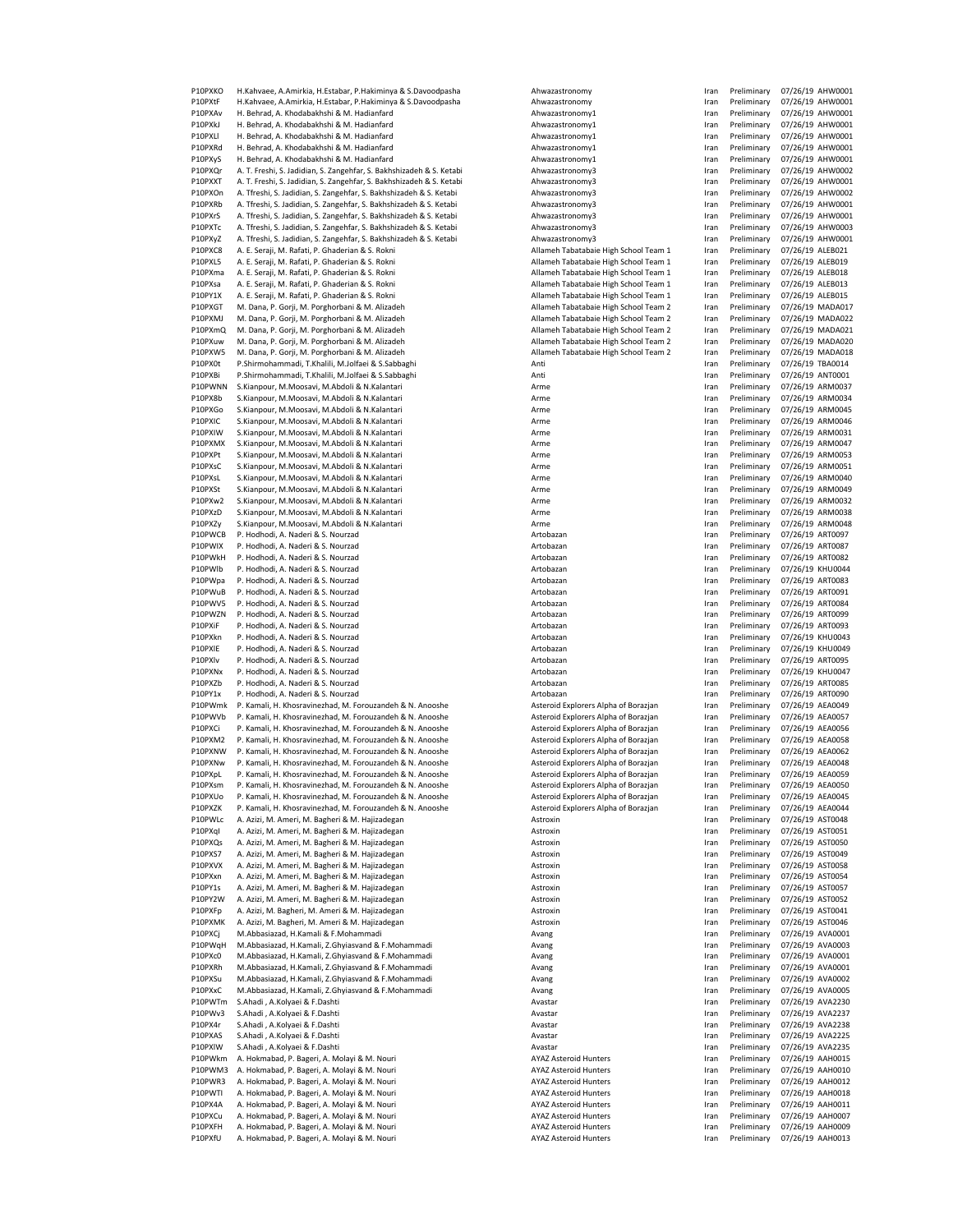P10PXKO H.Kahvaee, A.Amirkia, H.Estabar, P.Hakiminya & S.Davoodpasha Ahwazastronomy Ahwazastronomy Indiary Pre<br>Preliminary Ahmazastronomy Iran Preliminary 07/26/26/26/26/26/26/26/26/2019 P10PXtR H.Kahvaee, A.Amirkia, H.Estabar, P.Hakiminya & S.Davoodpasha Ahwazastronomy Iran Preliminary 07/26/19 Ahwazastronomy I<br>Iran Preliminary Ahmadahakhshi & M. Hadianfard P10PXAv H. Behrad, A. Khodabakhshi & M. Hadianfard P10PXkJ H. Behrad, A. Khodabakhshi & M. Hadianfard Ahwazastronomy1 Ahwazastronomy1<br>P10PXLI H. Behrad. A. Khodabakhshi & M. Hadianfard Ahwazastronomy1 P10PXLl H. Behrad, A. Khodabakhshi & M. Hadianfard<br>P10PXRd H. Behrad, A. Khodabakhshi & M. Hadianfard Ahwazastronomy1 P10PXRd H. Behrad, A. Khodabakhshi & M. Hadianfard<br>P10PXvS H. Behrad, A. Khodabakhshi & M. Hadianfard P20PXyS H. Behrad, A. Khodabakhshi & M. Hadianfard Ahwazastronomy1 Ahwazastronomy1 P10PXQr A. T. Freshi, S. Jadidian, S. Zangehfar, S. Bakhshizadeh & S. Ketabi Ahwazastronomy3<br>P10PXXT A. T. Freshi. S. Jadidian. S. Zangehfar. S. Bakhshizadeh & S. Ketabi Ahwazastronomy3 P10PXXT A. T. Freshi, S. Jadidian, S. Zangehfar, S. Bakhshizadeh & S. Ketabi Ahwazastronomy3 Indian Preliminary 1976<br>P10PXOn A. Tfreshi. S. Jadidian. S. Zangehfar. S. Bakhshizadeh & S. Ketabi Ahwazastronomy3 P10PXOn A. Tfreshi, S. Jadidian, S. Zangehfar, S. Bakhshizadeh & S. Ketabi Ahwazastronomy3 Indianary 2011 Ahwazastronomy3<br>1999-2010 P. A. Tfreshi. S. Jadidian. S. Zangehfar. S. Bakhshizadeh & S. Ketabi P10 A. Tfreshi, S. Jadidian, S. Zangehfar, S. Bakhshizadeh & S. Ketabi Ahwazastronomy3 Indivinary 2016 Ahwazastronomy3<br>A. Tfreshi, S. Jadidian, S. Zangehfar, S. Bakhshizadeh & S. Ketabi Ahwazastronomy3 P10PXrS A. Tfreshi, S. Jadidian, S. Zangehfar, S. Bakhshizadeh & S. Ketabi Ahwazastronomy3 IP10PXTc Ahwazastronomy3 P10PXTc A. Tfreshi, S. Jadidian, S. Zangehfar, S. Bakhshizadeh & S. Ketabi Ahwazastronomy3<br>P10PXvZ A. Tfreshi. S. Jadidian. S. Zangehfar. S. Bakhshizadeh & S. Ketabi Ahwazastronomy3 P10PXyZ A. Tfreshi, S. Jadidian, S. Zangehfar, S. Bakhshizadeh & S. Ketabi Ahwazastronomy3 Indivinary 1998 Ahmedian, S. Zangehfar, S. Bakhshizadeh & S. Retabi Ahmedian, S. Ahmedian & S. Rokni A. E. Seraji, M. Rafati, P. Ghaderian & S. Rokni P10PXL5 A. E. Seraji, M. Rafati, P. Ghaderian & S. Rokni Allameh Tabatabaie High School Team 1 P10PXma A. E. Seraji, M. Rafati, P. Ghaderian & S. Rokni Allameh Tabatabaie High School Team 1 Iran Preliminary 07/26/19 Allameh Tabatabaie High School Team 1 Iran Preliminary 07/26/19 Allameh Tabatabaie High School Team 1 P10PXsa A. E. Seraji, M. Rafati, P. Ghaderian & S. Rokni<br>P10PY1X A. E. Seraji. M. Rafati, P. Ghaderian & S. Rokni P10PY1X A. E. Seraji, M. Rafati, P. Ghaderian & S. Rokni Allameh Tabatabaie High School Team 1 Iran Preliminary 1 Iran Preliminary 107/26/19 Allameh Tabatabaie High School Team 2 Iran Preliminary 07/26/19 Allameh Tabatabai M. Dana, P. Gorji, M. Porghorbani & M. Alizadeh P10PXMJ M. Dana, P. Gorji, M. Porghorbani & M. Alizadeh Allameh Tabatabaie High School Team 2 Iran Preliminary<br>P10PXmQ M. Dana, P. Gorji, M. Porghorbani & M. Alizadeh Allamach Allameh Tabatabaie High School Team 2 P10PXmQ M. Dana, P. Gorji, M. Porghorbani & M. Alizadeh Allameh Tabatabaie High School Team 2 Iran Preliminary 07/26/19 MADA021 P10PXuw M. Dana, P. Gorji, M. Porghorbani & M. Alizadeh Allameh Tabatabaie High School Team 2 Iran Preliminary 07/26/19 MADA020 M. Dana, P. Gorji, M. Porghorbani & M. Alizadeh P10PX0t P.Shirmohammadi, T.Khalili, M.Jolfaei & S.Sabbaghi Anti Iran Preliminary 1976<br>Preliminary P.Shirmohammadi, T.Khalili, M.Jolfaei & S.Sabbaghi Anti Anti Anti Anti I P10PXBi P.Shirmohammadi, T.Khalili, M.Jolfaei & S.Sabbaghi Anti Iran Preliminary Anti Iran Preliminary Anti Ir<br>Iran Preliminary 07/26/2019 Anti Iran Preliminary Anti Iran Anti Iran Anti Iran Anti Iran Anti Iran Anti Iran S.Kianpour, M.Moosavi, M.Abdoli & N.Kalantari **Iran Preliminary 2019** Arme P10PX8b S.Kianpour, M.Moosavi, M.Abdoli & N.Kalantari Arme Iran Preliminary Arme International Arme Internatio<br>Preliminary 1976 - Preliminary 17/26/2019 Arme Iran Preliminary Arme International Arme International Arme Int S.Kianpour, M.Moosavi, M.Abdoli & N.Kalantari **Arme Iran Preliminary 2019** Arme P10PXIC S.Kianpour, M.Moosavi, M.Abdoli & N.Kalantari <br>P10PXIW S.Kianpour, M.Moosavi, M.Abdoli & N.Kalantari 1977 Arme P10PXIW S.Kianpour, M.Moosavi, M.Abdoli & N.Kalantari Arme Iran Preliminary Arme Iran Preliminary 07/26/19 Arme<br>P10PXMX S.Kianpour. M.Moosavi. M.Abdoli & N.Kalantari 19 Arme Iran Preliminary Arme S.Kianpour, M.Moosavi, M.Abdoli & N.Kalantari P10PXPt S.Kianpour, M.Moosavi, M.Abdoli & N.Kalantari **Iran Preliminary 1976** Arme P10PXsC S.Kianpour, M.Moosavi, M.Abdoli & N.Kalantari **Arme Iran Preliminary Arme Iran Preliminary Arme** Arme I<br>P10PXsL S.Kianpour. M.Moosavi. M.Abdoli & N.Kalantari **1980 Arme Iran Preliminary Arme** P10PXsL S.Kianpour, M.Moosavi, M.Abdoli & N.Kalantari Arme Iran Preliminary Arme Iran Preliminary Arme Iran P<br>P10PXSt S.Kianpour, M.Moosavi, M.Abdoli & N.Kalantari Iran Preliminary Arme S.Kianpour, M.Moosavi, M.Abdoli & N.Kalantari **Arme Iran Preliminary 2019** Arme P10PXw2 S.Kianpour, M.Moosavi, M.Abdoli & N.Kalantari **Arme** Arme P10PXzD S.Kianpour, M.Moosavi, M.Abdoli & N.Kalantari **Arme** Arme P10PXZy S.Kianpour, M.Moosavi, M.Abdoli & N.Kalantari **Arme Iran Preliminary 1988** Arme Iran Preliminary 07/26/19<br>Interview P. Hodhodi. A. Naderi & S. Nourzad P10PWCB P. Hodhodi, A. Naderi & S. Nourzad Artobazan II. Artobazan Iran Preliminary 1976.<br>P10PWIX P. Hodhodi. A. Naderi & S. Nourzad Artobazan II. Artobazan I P. Hodhodi, A. Naderi & S. Nourzad P10PWkH P. Hodhodi, A. Naderi & S. Nourzad Artobazan III am Preliminary 07/26/2019 P10PWlb P. Hodhodi, A. Naderi & S. Nourzad Artobazan Iran Preliminary 1998 (Artobazan Iran Preliminary 1976)<br>Independent Artobazan Iran Preliminary 07/26/19 Artobazan Iran Preliminary 1998 (Preliminary 1998) (Prelimina P10PWpa P. Hodhodi, A. Naderi & S. Nourzad Artobazan II. Artobazan Iran Preliminary 1976.<br>P10PWuB P. Hodhodi. A. Naderi & S. Nourzad Iran Preliminary 07/26/19 Artobazan P. Hodhodi, A. Naderi & S. Nourzad P10PWV5 P. Hodhodi, A. Naderi & S. Nourzad <br>P10PWZN P. Hodhodi A. Naderi & S. Nourzad Artobazan Iran Preliminary 07/26/19 Artobazan P. Hodhodi, A. Naderi & S. Nourzad P10PXiF P. Hodhodi, A. Naderi & S. Nourzad Artobazan III and Preliminary 07/26/26/19 Artobazan P10PXkn P. Hodhodi, A. Naderi & S. Nourzad Artobazan II. Artobazan Artobazan Iran Preliminary 07/26/19 KHz Artobazan I P10PXIE P. Hodhodi, A. Naderi & S. Nourzad **Artobazan Iran Preliminary 1996** Artobazan International Preliminary 07/26/19 (Preliminary 1996)<br>International Preliminary 07/26/19 KHU 07/26/19 Artobazan Iran Preliminary 07/26/ P. Hodhodi, A. Naderi & S. Nourzad P10PXNx P. Hodhodi, A. Naderi & S. Nourzad Artobazan Iran Preliminary 1976 Artobazan Iran Preliminary 07/26/19<br>Interveliminary 1976 P. Hodhodi, A. Naderi & S. Nourzad Artobazan Iran Preliminary 1976 Artobazan Iran Prelimi P10PXZb P. Hodhodi, A. Naderi & S. Nourzad<br>P10PY1x P. Hodhodi, A. Naderi & S. Nourzad P10PY1x P. Hodhodi, A. Naderi & S. Nourzad<br>P10PWmk P. Kamali. H. Khosravinezhad. M. Forouzandeh & N. Anooshe Arteroid Explorers Alpha of Borazian P10PWmk P. Kamali, H. Khosravinezhad, M. Forouzandeh & N. Anooshe Asteroid Explorers Alpha of Borazjan Iran Pre<br>Asteroid Explorers Alpha of Borazian Iran Preliminary 07/26/19 Acteroid Explorers Alpha of Borazian P10PWVb P. Kamali, H. Khosravinezhad, M. Forouzandeh & N. Anooshe Asteroid Explorers Alpha of Borazjan Iran Preliminary 07/26/19 AEA0057 P10PXCi P. Kamali, H. Khosravinezhad, M. Forouzandeh & N. Anooshe Asteroid Explorers Alpha of Borazjan Iran Pr<br>P10PXM2 P. Kamali, H. Khosravinezhad, M. Forouzandeh & N. Anooshe Asteroid Explorers Alpha of Borazjan P10PXM2 P. Kamali, H. Khosravinezhad, M. Forouzandeh & N. Anooshe Asteroid Explorers Alpha of Borazjan Iran Pr<br>P10PXNW P. Kamali, H. Khosravinezhad, M. Forouzandeh & N. Anooshe Asteroid Explorers Alpha of Borazjan P10PXNW P. Kamali, H. Khosravinezhad, M. Forouzandeh & N. Anooshe Asteroid Explorers Alpha of Borazjan Iran Pre<br>Preliminary P. Kamali. H. Khosravinezhad. M. Forouzandeh & N. Anooshe Asteroid Explorers Alpha of Borazjan P. Kamali, H. Khosravinezhad, M. Forouzandeh & N. Anooshe P10PXpL P. Kamali, H. Khosravinezhad, M. Forouzandeh & N. Anooshe Asteroid Explorers Alpha of Borazjan Iran Pr<br>P10PXsm P. Kamali. H. Khosravinezhad. M. Forouzandeh & N. Anooshe Asteroid Explorers Alpha of Borazian P10PXsm P. Kamali, H. Khosravinezhad, M. Forouzandeh & N. Anooshe Asteroid Explorers Alpha of Borazjan Iran Pr<br>P10PXUo P. Kamali, H. Khosravinezhad, M. Forouzandeh & N. Anooshe Asteroid Explorers Alpha of Borazjan P. Kamali, H. Khosravinezhad, M. Forouzandeh & N. Anooshe Asteroid Explorers Alpha of Borazjan Iran Asteroid Explorers Alpha of Borazjan Iran Preliminary 1976. Anooshe Asteroid Explorers Alpha of Borazjan Iran Preliminary P10PXZK P. Kamali, H. Khosravinezhad, M. Forouzandeh & N. Anooshe Asteroid Asteroid Explorers Asteroid Explorers A<br>Principiul Corazjan III Americ M. Bagheri & M. Haiizadegan A. Azizi, M. Ameri, M. Bagheri & M. Hajizadegan P10PXqI A. Azizi, M. Ameri, M. Bagheri & M. Haiizadegan Astroxin International Astroxin P10PXQs A. Azizi, M. Ameri, M. Bagheri & M. Hajizadegan Astroxin Iran Preliminary 1976<br>P10PXS7 A. Azizi, M. Ameri, M. Bagheri & M. Hajizadegan P10PXS7 A. Azizi, M. Ameri, M. Bagheri & M. Hajizadegan Astroxin Instructure and Astroxin Instructure of Astroxin Instructure of Astroxin Instructure and Astroxin Instructure of Astroxin Instructure and Astroxin Instructur A. Azizi, M. Ameri, M. Bagheri & M. Hajizadegan P10PXxn A. Azizi, M. Ameri, M. Bagheri & M. Hajizadegan Astroxin Iran Preliminary astroxin Iran Preliminary 07<br>Italiya A. Azizi, M. Ameri, M. Bagheri & M. Hajizadegan P10PY1s A. Azizi, M. Ameri, M. Bagheri & M. Hajizadegan Astroxin Iran Preliminary Astroxin II<br>Iran Preliminary A. Azizi, M. Ameri, M. Bagheri & M. Hajizadegan Astroxin III P10PY2W A. Azizi, M. Ameri, M. Bagheri & M. Hajizadegan Astroxin Iran Preliminary Astroxin II<br>P10PXFp A. Azizi, M. Bagheri, M. Ameri & M. Hajizadegan P10PXFp A. Azizi, M. Bagheri, M. Ameri & M. Hajizadegan Astroxin Iran Preliminary 1976<br>Preliminary Angliminary 1977 Astroxin II American Preliminary 1978 Astroxin International Astroxin A. Azizi, M. Bagheri, M. Ameri & M. Hajizadegan P10PXCj M.Abbasiazad, H.Kamali & F.Mohammadi <br>P10PWqH M.Abbasiazad, H.Kamali, Z.Ghyiasvand & F.Mohammadi Avang Avang ست 110PWqH M.Abbasiazad, H.Kamali, Z.Ghyiasvand & F.Mohammadi<br>P10PXc0 M.Abbasiazad, H.Kamali, Z.Ghyiasvand & F.Mohammadi Avang Avang P10PXc0 M.Abbasiazad, H.Kamali, Z.Ghyiasvand & F.Mohammadi Avang Avang Iran Preliminary 1976<br>P10PXRh M.Abbasiazad, H.Kamali, Z.Ghyiasvand & F.Mohammadi Avang Avang M.Abbasiazad, H.Kamali, Z.Ghyiasvand & F.Mohammadi P10PXSu M.Abbasiazad, H.Kamali, Z.Ghyiasvand & F.Mohammadi Avang Iran Preliminary 2014<br>Index Alexandria Avang Iran Preliminary 07-26. Avang Iran Preliminary 07-26. Avang Iran Preliminary 07-26. Av P10PXxC M.Abbasiazad, H.Kamali, Z.Ghyiasvand & F.Mohammadi Avang Avang Avang Avang Iran Preliminary 07/26/19 Avanta P10PWTm S.Ahadi , A.Kolyaei & F.Dashti **Avastar Iran Preliminary 2006** Avastar Avastar Avastar Avastar Iran Preliminary 07/26/19 Avastar Avastar Avastar Avastar Avastar Avastar Avastar Avastar Avastar Avastar Avastar Avast S.Ahadi , A.Kolyaei & F.Dashti P10PX4r S.Ahadi , A.Kolyaei & F.Dashti Avastar Iran Preliminary 07/26/26/19 Avastar International Avastar P10PXAS S.Ahadi , A.Kolyaei & F.Dashti <br>P10PXIW S.Ahadi , A.Kolyaei & F.Dashti Avastar Iran Preliminary 07/26/26/26/26/26/26 P10PXlW S.Ahadi , A.Kolyaei & F.Dashti Avastar Iran Preliminary and Mustar Avastar International Avastar Iran P<br>IX AVAZ Asteroid Hunters II am Preliminary 07/26/19 AVAZ Asteroid Hunters A. Hokmabad, P. Bageri, A. Molayi & M. Nouri P10PWM3 A. Hokmabad, P. Bageri, A. Molayi & M. Nouri AYAZ Asteroid Hunters Iran Preliminary 07/26 P10PWR3 A. Hokmabad, P. Bageri, A. Molayi & M. Nouri AYAZ Asteroid Hunters Iran AYAZ Asteroid Hunters Iran Pre<br>International Ata Ata Preliminary 0. Bageri, A. Molayi & M. Nouri And Area And AYAZ Asteroid Hunters Iran Pre P10PWTI A. Hokmabad, P. Bageri, A. Molayi & M. Nouri AYAZ Asteroid Hunters International AYAZ Asteroid Hunters<br>P10PX4A A. Hokmabad. P. Bageri. A. Molavi & M. Nouri Area Ata AyaZ Asteroid Hunters A. Hokmabad, P. Bageri, A. Molayi & M. Nouri P10PXCu A. Hokmabad, P. Bageri, A. Molayi & M. Nouri AYAZ ASteroid Hunters Iran Preliminary 07/26/19 AMAZ Asteroid Hunters P10PXFH A. Hokmabad, P. Bageri, A. Molayi & M. Nouri **ANAZ Asteroid Hunters II**<br>P10PXfU A. Hokmabad. P. Bageri. A. Molavi & M. Nouri **A. A. A. A. A. A. A. A. A. A. A. A. A.** A. A. A. A. A. A A. Hokmabad, P. Bageri, A. Molayi & M. Nouri

| Iran<br>Iran | Preliminary                |                                      |                |
|--------------|----------------------------|--------------------------------------|----------------|
|              |                            | 07/26/19 AHW000                      |                |
|              | Preliminary                | 07/26/19 AHW000                      |                |
| Iran         | Preliminary                | 07/26/19 AHW000                      |                |
| Iran         | Preliminary                | 07/26/19                             | AHW000         |
| Iran         | Preliminary                | 07/26/19                             | AHW000         |
| Iran         | Preliminary                | 07/26/19                             | AHW000         |
| Iran         | Preliminary                | 07/26/19 AHW000                      |                |
| Iran         | Preliminary                | 07/26/19 AHW000                      |                |
| Iran         | Preliminary                | 07/26/19                             | AHW000         |
| Iran         | Preliminary                | 07/26/19                             | AHW000         |
|              |                            |                                      |                |
| Iran         | Preliminary                | 07/26/19                             | AHW000         |
| Iran         | Preliminary                | 07/26/19 AHW000                      |                |
| Iran         | Preliminary                | 07/26/19                             | AHW000         |
| Iran         | Preliminary                | 07/26/19                             | AHW000         |
| Iran         | Preliminary                | 07/26/19                             | ALEB021        |
| Iran         | Preliminary                | 07/26/19                             | ALEB019        |
| Iran         |                            | 07/26/19                             | ALEB018        |
|              | Preliminary                |                                      |                |
| Iran         | Preliminary                | 07/26/19                             | ALEB013        |
| Iran         | Preliminary                | 07/26/19                             | ALEB015        |
| Iran         | Preliminary                | 07/26/19                             | MADA01         |
| Iran         | Preliminary                | 07/26/19                             | MADA02         |
| Iran         | Preliminary                | 07/26/19                             | MADA02         |
| Iran         | Preliminary                | 07/26/19                             | MADA02         |
| Iran         | Preliminary                | 07/26/19                             | MADA01         |
|              |                            |                                      |                |
| Iran         | Preliminary                | 07/26/19 TBA0014                     |                |
| Iran         | Preliminary                | 07/26/19                             | ANT0001        |
| Iran         | Preliminary                | 07/26/19                             | ARM0037        |
| Iran         | Preliminary                | 07/26/19                             | ARM0034        |
| Iran         | Preliminary                | 07/26/19                             | ARM0045        |
| Iran         | Preliminary                | 07/26/19 ARM0046                     |                |
| Iran         | Preliminary                | 07/26/19                             | ARM0031        |
|              |                            |                                      |                |
| Iran         | Preliminary                | 07/26/19                             | ARM0047        |
| Iran         | Preliminary                | 07/26/19                             | ARM0053        |
| Iran         | Preliminary                | 07/26/19                             | ARM0051        |
| Iran         | Preliminary                | 07/26/19                             | ARM0040        |
| Iran         | Preliminary                | 07/26/19                             | ARM0049        |
| Iran         | Preliminary                | 07/26/19                             | ARM0032        |
| Iran         | Preliminary                | 07/26/19                             | ARM0038        |
|              |                            |                                      |                |
| Iran         | Preliminary                | 07/26/19                             | ARM0048        |
| Iran         | Preliminary                | 07/26/19                             | ART0097        |
| Iran         | Preliminary                | 07/26/19                             | ART0087        |
| Iran         | Preliminary                | 07/26/19                             | ART0082        |
| Iran         | Preliminary                | 07/26/19                             | <b>KHU0044</b> |
| Iran         | Preliminary                | 07/26/19 ART0083                     |                |
| Iran         | Preliminary                | 07/26/19                             | ART0091        |
|              | Preliminary                |                                      | ART0084        |
| Iran         |                            | 07/26/19                             |                |
| Iran         | Preliminary                | 07/26/19                             | ART0099        |
| Iran         | Preliminary                | 07/26/19 ART0093                     |                |
| Iran         | Preliminary                | 07/26/19                             | KHU0043        |
|              |                            |                                      |                |
|              |                            |                                      |                |
| Iran         | Preliminary                | 07/26/19                             | KHU0049        |
| Iran         | Preliminary                | 07/26/19                             | ART0095        |
| Iran         | Preliminary                | 07/26/19                             | <b>KHU0047</b> |
| Iran         | Preliminary                | 07/26/19                             | ART0085        |
| Iran         | Preliminary                | 07/26/19                             | ART0090        |
| Iran         | Preliminary                | 07/26/19                             | AEA0049        |
| Iran         | Preliminary                | 07/26/19                             | AEA0057        |
|              |                            |                                      |                |
| Iran         | Preliminary                | 07/26/19                             | AEA0056        |
| Iran         | Preliminary                | 07/26/19                             | AEA0058        |
| Iran         | Preliminary                | 07/26/19                             | AEA0062        |
| Iran         | Preliminary                | 07/26/19                             | AEA0048        |
| Iran         | Preliminary                | 07/26/19                             | AEA0059        |
| Iran         | Preliminary                | 07/26/19 AEA0050                     |                |
| Iran         | Preliminary                | 07/26/19 AEA0045                     |                |
| Iran         | Preliminary                | 07/26/19 AEA0044                     |                |
| Iran         | Preliminary                | 07/26/19                             | AST0048        |
|              |                            |                                      |                |
| Iran         | Preliminary                | 07/26/19 AST0051                     |                |
| Iran         | Preliminary                | 07/26/19 AST0050                     |                |
| Iran         | Preliminary                | 07/26/19 AST0049                     |                |
| Iran         | Preliminary                | 07/26/19 AST0058                     |                |
| Iran         | Preliminary                | 07/26/19 AST0054                     |                |
| Iran         | Preliminary                | 07/26/19 AST0057                     |                |
| Iran         | Preliminary                | 07/26/19 AST0052                     |                |
| Iran         | Preliminary                | 07/26/19 AST0041                     |                |
| Iran         |                            | 07/26/19                             | AST0046        |
|              | Preliminary                |                                      |                |
| Iran         | Preliminary                | 07/26/19 AVA0001                     |                |
| Iran         | Preliminary                | 07/26/19 AVA0003                     |                |
| Iran         | Preliminary                | 07/26/19                             | AVA0001        |
| Iran         | Preliminary                | 07/26/19                             | AVA0001        |
| Iran         | Preliminary                | 07/26/19                             | AVA0002        |
| Iran         | Preliminary                | 07/26/19 AVA0005                     |                |
| Iran         | Preliminary                | 07/26/19                             | AVA2230        |
| Iran         | Preliminary                | 07/26/19                             | AVA2237        |
|              |                            |                                      |                |
| Iran         | Preliminary                | 07/26/19                             | AVA2238        |
| Iran         | Preliminary                | 07/26/19 AVA2225                     |                |
| Iran         | Preliminary                | 07/26/19 AVA2235                     |                |
| Iran         | Preliminary                | 07/26/19 AAH0015                     |                |
| Iran         | Preliminary                | 07/26/19 AAH0010                     |                |
| Iran         | Preliminary                | 07/26/19 AAH0012                     |                |
| Iran         | Preliminary                | 07/26/19 AAH0018                     |                |
| Iran         | Preliminary                | 07/26/19 AAH0011                     |                |
| Iran         |                            |                                      |                |
|              | Preliminary                | 07/26/19 AAH0007                     |                |
| Iran<br>Iran | Preliminary<br>Preliminary | 07/26/19 AAH0009<br>07/26/19 AAH0013 |                |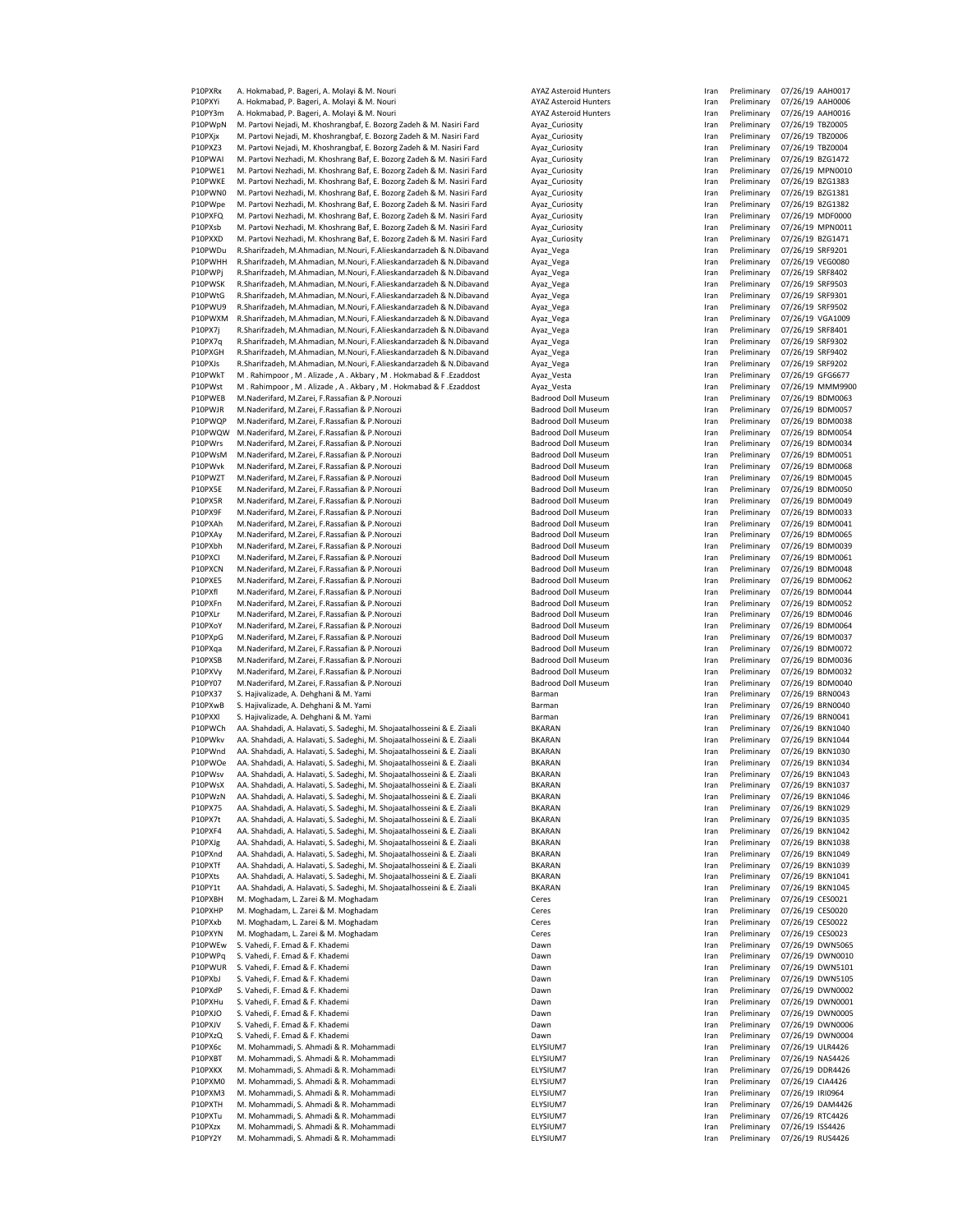P10PXRx A. Hokmabad, P. Bageri, A. Molayi & M. Nouri AYAZ Asteroid Hunters International AYAZ Asteroid Hunters<br>International Atlan Preliminary 18, 2001, A. Molayi & M. Nouri Architects Architects AYAZ Asteroid Hunters Inte A. Hokmabad, P. Bageri, A. Molayi & M. Nouri P10PY3m A. Hokmabad, P. Bageri, A. Molayi & M. Nouri **ATAZ ASTEROID ATAZ Asteroid Hunters** P10PWpN M. Partovi Nejadi, M. Khoshrangbaf, E. Bozorg Zadeh & M. Nasiri Fard Ayaz\_Curiosity Ayaz\_Curiosity Indiary 1976.<br>Preliminary M. Partovi Nejadi. M. Khoshrangbaf. E. Bozorg Zadeh & M. Nasiri Fard Ayaz Curiosity P10PXjx M. Partovi Nejadi, M. Khoshrangbaf, E. Bozorg Zadeh & M. Nasiri Fard Ayaz\_Curiosity<br>P10PXZ3 M. Partovi Nejadi, M. Khoshrangbaf, E. Bozorg Zadeh & M. Nasiri Fard Ayaz\_Curiosity M. Partovi Nejadi, M. Khoshrangbaf, E. Bozorg Zadeh & M. Nasiri Fard P10PWAI M. Partovi Nezhadi, M. Khoshrang Baf, E. Bozorg Zadeh & M. Nasiri Fard Ayaz\_Curiosity P10PWE1 M. Partovi Nezhadi, M. Khoshrang Baf, E. Bozorg Zadeh & M. Nasiri Fard Ayaz\_Curiosity Indiary Prelimina<br>P10PWKE M. Partovi Nezhadi, M. Khoshrang Baf, E. Bozorg Zadeh & M. Nasiri Fard Ayaz\_Curiosity P10PWKE M. Partovi Nezhadi, M. Khoshrang Baf, E. Bozorg Zadeh & M. Nasiri Fard Ayaz\_Curiosity<br>P10PWN0 M. Partovi Nezhadi, M. Khoshrang Baf, E. Bozorg Zadeh & M. Nasiri Fard Ayaz\_Curiosity P10PWN0 M. Partovi Nezhadi, M. Khoshrang Baf, E. Bozorg Zadeh & M. Nasiri Fard Ayaz\_Curiosity In Preliminary 1<br>P10PWpe M. Partovi Nezhadi, M. Khoshrang Baf, E. Bozorg Zadeh & M. Nasiri Fard Ayaz\_Curiosity M. Partovi Nezhadi, M. Khoshrang Baf, E. Bozorg Zadeh & M. Nasiri Fard P10PXFQ M. Partovi Nezhadi, M. Khoshrang Baf, E. Bozorg Zadeh & M. Nasiri Fard Ayaz\_Curiosity (Partority Fram Preliminary 07/26/19 MDF0000<br>P10PXsb M. Partovi Nezhadi, M. Khoshrang Baf, E. Bozorg Zadeh & M. Nasiri Fard Ayaz P10PXXD M. Partovi Nezhadi, M. Khoshrang Baf, E. Bozorg Zadeh & M. Nasiri Fard Ayaz\_Curiosity<br>P10PWDu R. Sharifzadeh, M. Ahmadian, M. Nouri, F. Alieskandarzadeh & N. Dibavand Ayaz\_Vega R.Sharifzadeh, M.Ahmadian, M.Nouri, F.Alieskandarzadeh & N.Dibavand P10PWHH R.Sharifzadeh, M.Ahmadian, M.Nouri, F.Alieskandarzadeh & N.Dibavand Ayaz\_Vega<br>P10PWPj R.Sharifzadeh, M.Ahmadian, M.Nouri, F.Alieskandarzadeh & N.Dibavand Ayaz\_Vega<br>P10PWSK R.Sharifzadeh, M.Ahmadian, M.Nouri, F.Alie P10PWPj R.Sharifzadeh, M.Ahmadian, M.Nouri, F.Alieskandarzadeh & N.Dibavand<br>P10PWSK R.Sharifzadeh. M.Ahmadian. M.Nouri. F.Alieskandarzadeh & N.Dibavand P10PWSK R.Sharifzadeh, M.Ahmadian, M.Nouri, F.Alieskandarzadeh & N.Dibavand Ayaz\_Vega<br>P10PWtG R.Sharifzadeh, M.Ahmadian, M.Nouri, F.Alieskandarzadeh & N.Dibavand Ayaz\_Vega P10PWtG R.Sharifzadeh, M.Ahmadian, M.Nouri, F.Alieskandarzadeh & N.Dibavand Ayaz\_Vega Iran Preliminary 07/26/19 SRF9301 P10PWU9 R.Sharifzadeh, M.Ahmadian, M.Nouri, F.Alieskandarzadeh & N.Dibavand P10PWXM R.Sharifzadeh, M.Ahmadian, M.Nouri, F.Alieskandarzadeh & N.Dibavand Ayaz\_Vega Iran Preliminary 07/26/2<br>Preliminary 1997 - Annary 2009 - R.Sharifzadeh B. Alian Preliminary 07/26/26 P10PX7j R.Sharifzadeh, M.Ahmadian, M.Nouri, F.Alieskandarzadeh & N.Dibavand Ayaz\_Vega<br>P10PX7q R.Sharifzadeh, M.Ahmadian, M.Nouri, F.Alieskandarzadeh & N.Dibavand Ayaz\_Vega P10PX7q R.Sharifzadeh, M.Ahmadian, M.Nouri, F.Alieskandarzadeh & N.Dibavand<br>P10PXGH R.Sharifzadeh, M.Ahmadian, M.Nouri, F.Alieskandarzadeh & N.Dibavand R.Sharifzadeh, M.Ahmadian, M.Nouri, F.Alieskandarzadeh & N.Dibavand Ayaz\_Vega P10PXJs R.Sharifzadeh, M.Ahmadian, M.Nouri, F.Alieskandarzadeh & N.Dibavand Ayaz\_Vega Iran Preliminary 07/26/1<br>Preliminary M. Rahimpoor M. Alizade A. Akbary M. Hokmabad & F. Fzaddost Ayaz Vesta P10PWkT M . Rahimpoor , M . Alizade , A . Akbary , M . Hokmabad & F . Ezaddost Ayaz\_Vesta Ayaz\_Vesta Iran Preliminary 07/26/19 GFG6677<br>P10PWst M . Rahimpoor , M . Alizade , A . Akbary , M . Hokmabad & F . Ezaddost Ayaz\_Ves M . Rahimpoor , M . Alizade , A . Akbary , M . Hokmabad & F . Ezaddost P10PWEB M.Naderifard, M.Zarei, F.Rassafian & P.Norouzi Badrood Doll Museum Indiana Badrood Doll Museum Iran Pr<br>P10PWJR M.Naderifard, M.Zarei, F.Rassafian & P.Norouzi Badrood Doll Museum Indiana Badrood Doll Museum M.Naderifard, M.Zarei, F.Rassafian & P.Norouzi P10PWQP M.Naderifard, M.Zarei, F.Rassafian & P.Norouzi Badrood Doll Museum Indian Preliminary 07/26/19 Badrood Doll Museum Indian Preliminary 07/26/19 Badrood Doll Museum Indian Preliminary 07/26/19 Badrood Doll Museum P10PWQW M.Naderifard, M.Zarei, F.Rassafian & P.Norouzi Badrood Doll Museum Indian Preliminary 07/26/19 Badrood Doll Museum Indian Preliminary 07/26/19 BDM00544<br>P10PWrs M.Naderifard. M.Zarei. F.Rassafian & P.Norouzi Badrood P10 M.Naderifard, M.Zarei, F.Rassafian & P.Norouzi Badrood Doll Museum Inc. M.Naderifard, M.Zarei, F.Rassafian & P.Norouzi Badrood Doll Museum Inc. P10PWsM M.Naderifard, M.Zarei, F.Rassafian & P.Norouzi P10PWvk M.Naderifard, M.Zarei, F.Rassafian & P.Norouzi Batrood Doll Museum Iran Preliminary 07/26/19 Badrood Doll Museum Iran Preliminary 07/26/19 Badrood Doll Museum Iran Preliminary 07/26/19 Badrood Doll Museum P10PWZT M.Naderifard, M.Zarei, F.Rassafian & P.Norouzi Badrood Doll Museum Indiana Preliminary 07/26/19 Badrood Doll Museum Iran Preliminary 07/26/19 Badrood Doll Museum Iran Preliminary 07/26/19 Badrood Doll Museum M.Naderifard, M.Zarei, F.Rassafian & P.Norouzi P10PX5R M.Naderifard, M.Zarei, F.Rassafian & P.Norouzi Badrood Doll Museum Indiana Preliminary 07/26/19 Badrood Doll Museum Indian Preliminary 07/26/19 BDM004919 BDM004919 BDM004919 BDM004919 BDM004919 BDM004919 BDM004919 P10PX9F M.Naderifard, M.Zarei, F.Rassafian & P.Norouzi P10PXAh M.Naderifard, M.Zarei, F.Rassafian & P.Norouzi Badrood Doll Museum Indian Preliminary 07/26/19 Badrood Doll Museum Indian Preliminary 07/26/19 Badrood Doll Museum Indian Preliminary 07/26/19 Badrood Doll Museum P10PXAy M.Naderifard, M.Zarei, F.Rassafian & P.Norouzi Badrood Doll Museum Indiana Preliminary 07/26/19 Badrood Doll Museum Iran Preliminary 07/26/19 Badrood Doll Museum Iran Preliminary 07/26/19 Badrood Doll Museum M.Naderifard, M.Zarei, F.Rassafian & P.Norouzi P10PXCI M.Naderifard, M.Zarei, F.Rassafian & P.Norouzi Badrood Doll Museum Badrood Doll Museum P10PXCN M.Naderifard, M.Zarei, F.Rassafian & P.Norouzi Badrood Doll Museum Iran Preliminary 07/26/19 Badrood Doll Museum Iran Preliminary 07/26/19 Badrood Doll Museum Iran Preliminary 07/26/19 Badrood Doll Museum P10PXE5 M.Naderifard, M.Zarei, F.Rassafian & P.Norouzi Badrood Doll Museum Indiana Preliminary 07/26/19 Badrood Doll Museum Iran Preliminary 07/26/19 Badrood Doll Museum Iran Preliminary 07/26/19 Badrood Doll Museum M.Naderifard, M.Zarei, F.Rassafian & P.Norouzi P10PXFn M.Naderifard, M.Zarei, F.Rassafian & P.Norouzi Badrood Doll Museum Indian Preliminary 07/26/19 Badrood Doll Museum Indian Preliminary 07/26/19 BBM000226.<br>Preliminary of Materifard M.Zarei, F.Bassafian & P.Norouzi B M.Naderifard, M.Zarei, F.Rassafian & P.Norouzi P10PXoY M.Naderifard, M.Zarei, F.Rassafian & P.Norouzi Badrood Doll Museum Indian Preliminary 07/26/19 Badrood Doll Museum Indian Preliminary 07/26/19 Badrood Doll Museum Indian Preliminary 07/26/19 Badrood Doll Museum P10PXpG M.Naderifard, M.Zarei, F.Rassafian & P.Norouzi Badrood Doll Museum Indian Preliminary 07/26/19 Badrood Doll Museum Indian Preliminary 07/26/19 Badrood Doll Museum Indian Preliminary 07/26/19 Badrood Doll Museum P10PXqa M.Naderifard, M.Zarei, F.Rassafian & P.Norouzi Badrood Doll Museum Indian Preliminary 07/26/19 Badrood Doll Museum Indian Preliminary 07/26/19 BDM or Preliminary 07/26/19 BDM 07/26/19 BDM007226/19 BDM007226/19 BDM0 M.Naderifard, M.Zarei, F.Rassafian & P.Norouzi P10PXVy M.Naderifard, M.Zarei, F.Rassafian & P.Norouzi Badrood Doll Museum Indian Preliminary 07/26/19 Badrood Doll Museum Iran Preliminary 07/26/19 Badrood Doll Museum Iran Preliminary 07/26/19 Badrood Doll Museum P10PY07 M.Naderifard, M.Zarei, F.Rassafian & P.Norouzi<br>P10PX37 S. Hajivalizade, A. Dehghani & M. Yami P10PX37 S. Hajivalizade, A. Dehghani & M. Yami Barman Iran Preliminary 07/26/19 Barman Iran Preliminary 07/26/<br>Preliminary 1978 Barman Iran Preliminary 07/26/19 Barman Iran Preliminary 07/26/19 Barman Iran Preliminary 07/ P10PXwB S. Hajivalizade, A. Dehghani & M. Yami<br>P10PXXL S. Hajivalizade A. Dehghani & M. Yami Barman Iran Preliminary 07/26/19 Barman P10PXXI S. Hajivalizade, A. Dehghani & M. Yami<br>P10PWCh AA. Shahdadi. A. Halavati. S. Sadeghi. M. Shoiaatalhosseini & E. Ziaali BKARAN P20 AA. Shahdadi, A. Halavati, S. Sadeghi, M. Shojaatalhosseini & E. Ziaali BKARAN IRARAN IRAN Preliminary 07/26/19 BKARAN IRAN Preliminary 07/26/19 BKARAN IRANGAN IRANGAN IRANGAN IRANGAN IRANGAN IRANGAN IRANGAN IRANGAN IR P10PWkv AA. Shahdadi, A. Halavati, S. Sadeghi, M. Shojaatalhosseini & E. Ziaali BKARAN BKARAN IRAN BKARAN IRAN PRELIMINARY ORGANISME BKARAN IRAN PRELIMINARY ORGANISME BKARAN IRAN PRELIMINARY ORGANISME BKARAN IRAN BKARAN IR P10PWnd AA. Shahdadi, A. Halavati, S. Sadeghi, M. Shojaatalhosseini & E. Ziaali BKARAN BKARAN IRAN IRAN PRELIMINARY OF PRELIMINARY OF PRELIMINARY OF PRELIMINARY OF PRELIMINARY OR ARA IN PRELIMINARY OR ARA IN PRELIMINARY OR AA. Shahdadi, A. Halavati, S. Sadeghi, M. Shojaatalhosseini & E. Ziaali P10PWsv AA. Shahdadi, A. Halavati, S. Sadeghi, M. Shojaatalhosseini & E. Ziaali BKARAN IRAN Preliminary 07/26/<br>International BKARAN Indiavati, S. Sadeghi, M. Shojaatalhosseini & E. Ziaali BKARAN BKARAN P10PWsX AA. Shahdadi, A. Halavati, S. Sadeghi, M. Shojaatalhosseini & E. Ziaali BKARAN BKARAN IRAN Preliminary<br>P10PWzN AA. Shahdadi, A. Halavati, S. Sadeghi, M. Shojaatalhosseini & E. Ziaali BKARAN P20 AA. Shahdadi, A. Halavati, S. Sadeghi, M. Shojaatalhosseini & E. Ziaali BKARAN IRAN BKARAN IRAN Preliminary 07/26/26/19 BKARAN IRAN BKARAN IRAN PRELIMINARY 07/26/19 BKARAN IRANGGAN IRAN PRELIMINARY 07/26/19 BKARAN IRAN P10PX75 AA. Shahdadi, A. Halavati, S. Sadeghi, M. Shojaatalhosseini & E. Ziaali BKARAN BKARAN IRAN PRELIMINARAN IRAN PRELIMINARAN IRAN PRELIMINARAN IRAN PRELIMINARAN IRANGRAN IRAN PRELIMINARAN IRAN PRELIMINARAN IRANGRAN IR P. Shahdadi, A. Halavati, S. Sadeghi, M. Shojaatalhosseini & E. Ziaali BKARAN BKARAN IRAN Preliminary 07/26.<br>A. Shahdadi. A. Halavati. S. Sadeghi. M. Shoiaatalhosseini & E. Ziaali BKARAN P10PXF4 AA. Shahdadi, A. Halavati, S. Sadeghi, M. Shojaatalhosseini & E. Ziaali BKARAN BKARAN IRAN Preliminary<br>Preliminary ang akandadi, A. Halavati, S. Sadeghi, M. Shojaatalhosseini & E. Ziaali BKARAN BKARAN P10PXJg AA. Shahdadi, A. Halavati, S. Sadeghi, M. Shojaatalhosseini & E. Ziaali BKARAN BKARAN IRAN IRAN PRELIMI<br>Preliminary orang aka-bahdadi A. Halavati S. Sadeghi, M. Shojaatalhosseini & E. Ziaali BKARAN IRKARAN P10PXnd AA. Shahdadi, A. Halavati, S. Sadeghi, M. Shojaatalhosseini & E. Ziaali BKARAN BKARAN IRAN PRELIMINARY 07/26/19 BKARAN IRAN PRELIMINARY 07/26/19 BKARAN IRAN PRELIMINARY 07/26/19 BKARAN IRAN PRELIMINARY 07/26/19 BKA AA. Shahdadi, A. Halavati, S. Sadeghi, M. Shojaatalhosseini & E. Ziaali P10PXts AA. Shahdadi, A. Halavati, S. Sadeghi, M. Shojaatalhosseini & E. Ziaali BKARAN IRAN Preliminary 07/26/<br>Italii Preliminary 1980-2014 BKARAN Iran Preliminary 07/26/19 BKARAN Iran BKARAN Iran Preliminary 07/26/19 BKAR P10PY1t AA. Shahdadi, A. Halavati, S. Sadeghi, M. Shojaatalhosseini & E. Ziaali BKAR.<br>P10PXBH M. Moghadam, L. Zarei & M. Moghadam P10PXBH M. Moghadam, L. Zarei & M. Moghadam<br>
P10PXHP M. Moghadam. L. Zarei & M. Moghadam Ceres Ceres P10PXHP M. Moghadam, L. Zarei & M. Moghadam<br>P10PXxb M. Moghadam I. Zarei & M. Moghadam M. Moghadam, L. Zarei & M. Moghadam P10PXYN M. Moghadam, L. Zarei & M. Moghadam Ceres Interventional Ceres Ceres Interventional Ceres Intervention<br>Interventional Preliminary 17/26/19 Ceres Interventional Ceres Interventional Ceres Interventional Ceres Inter P10PWEw S. Vahedi, F. Emad & F. Khademi Dawn Iran Preliminary 1998 Dawn Inc. Inc. Dawn Inc. Inc. Dawn Dawn Dawn P10PWPq S. Vahedi, F. Emad & F. Khademi Dawn Indian Preliminary 1976 Dawn Indian Preliminary 07-26/19 Dawn Indian Press, 2014 S. Vahedi, F. Emad & F. Khademi P10PXbJ S. Vahedi, F. Emad & F. Khademi **Dawn Iran Preliminary 1986** Dawn Dawn Interveliminary 07-26.<br>Preliminary 1976 S. Vahedi, F. Emad & F. Khademi **Dawn** Dawn Dawn P10PXdP S. Vahedi, F. Emad & F. Khademi Dawn Iran Preliminary Oawn Indian Preliminary Or Dawn Dawn Dawn Dawn Dawn P10PXHu S. Vahedi, F. Emad & F. Khademi<br>P10PXIO S. Vahedi, E. Emad & E. Khademi S. Vahedi, F. Emad & F. Khademi Dawn Iran Preliminary 07/26/26 P10PXJV S. Vahedi, F. Emad & F. Khademi **Dawn Instantial Premium Instantial Premium Instantial Premium Instantial** P10PXzQ S. Vahedi, F. Emad & F. Khademi **Dawn Iran Preliminary 1986** Dawn Dawn Dawn Dawn Iran Preliminary 07/26/19 Dawn Indian Preliminary 07/26/19 Dawn Indian Preliminary 07/26/19 Dawn Indian Preliminary 07/26/19 Dawn Ind P10PX6c M. Mohammadi, S. Ahmadi & R. Mohammadi ELYSIUM7 IN ELYSIUM7 CHAMBADI ELYSIUM7 M. Mohammadi, S. Ahmadi & R. Mohammadi P10PXKX M. Mohammadi, S. Ahmadi & R. Mohammadi **ELYSIUM7** P10PXM0 M. Mohammadi, S. Ahmadi & R. Mohammadi<br>P10PXM3 M. Mohammadi. S. Ahmadi & R. Mohammadi **ELYSIUM7** FLYSIUM7 P10PXM3 M. Mohammadi, S. Ahmadi & R. Mohammadi<br>P10PXTH M. Mohammadi. S. Ahmadi & R. Mohammadi ELYSIUM7 ELYSIUM7 M. Mohammadi, S. Ahmadi & R. Mohammadi P10PXTu M. Mohammadi, S. Ahmadi & R. Mohammadi **ELYSIUM7** P10PXzx M. Mohammadi, S. Ahmadi & R. Mohammadi **ELYSIUM7** ELYSIUM7<br>P10PY2Y M. Mohammadi. S. Ahmadi & R. Mohammadi **Elysium7** M. Mohammadi, S. Ahmadi & R. Mohammadi

| Iran | Preliminary | 07/26/19 | AAH0017        |
|------|-------------|----------|----------------|
|      |             |          |                |
| Iran | Preliminary | 07/26/19 | AAH0006        |
| Iran | Preliminary | 07/26/19 | AAH0016        |
| Iran | Preliminary | 07/26/19 | TBZ0005        |
| Iran | Preliminary | 07/26/19 | <b>TBZ0006</b> |
| Iran | Preliminary | 07/26/19 | TBZ0004        |
| Iran | Preliminary | 07/26/19 | BZG1472        |
| Iran | Preliminary | 07/26/19 | <b>MPN0010</b> |
| Iran | Preliminary | 07/26/19 | BZG1383        |
| Iran | Preliminary | 07/26/19 | BZG1381        |
|      |             |          |                |
| Iran | Preliminary | 07/26/19 | <b>BZG1382</b> |
| Iran | Preliminary | 07/26/19 | MDF0000        |
| Iran | Preliminary | 07/26/19 | MPN0011        |
| Iran | Preliminary | 07/26/19 | BZG1471        |
| Iran | Preliminary | 07/26/19 | SRF9201        |
| Iran | Preliminary | 07/26/19 | <b>VEG0080</b> |
| Iran | Preliminary | 07/26/19 | SRF8402        |
| Iran | Preliminary | 07/26/19 | SRF9503        |
|      | Preliminary |          | SRF9301        |
| Iran |             | 07/26/19 |                |
| Iran | Preliminary | 07/26/19 | SRF9502        |
| Iran | Preliminary | 07/26/19 | VGA1009        |
| Iran | Preliminary | 07/26/19 | SRF8401        |
| Iran | Preliminary | 07/26/19 | SRF9302        |
| Iran | Preliminary | 07/26/19 | SRF9402        |
| Iran | Preliminary | 07/26/19 | SRF9202        |
| Iran | Preliminary | 07/26/19 | GFG6677        |
|      | Preliminary | 07/26/19 | <b>MMM990</b>  |
| Iran |             |          |                |
| Iran | Preliminary | 07/26/19 | BDM0063        |
| Iran | Preliminary | 07/26/19 | <b>BDM0057</b> |
| Iran | Preliminary | 07/26/19 | <b>BDM0038</b> |
| Iran | Preliminary | 07/26/19 | <b>BDM0054</b> |
| Iran | Preliminary | 07/26/19 | <b>BDM0034</b> |
| Iran | Preliminary | 07/26/19 | <b>BDM0051</b> |
| Iran | Preliminary | 07/26/19 | <b>BDM0068</b> |
|      | Preliminary |          | <b>BDM0045</b> |
| Iran |             | 07/26/19 |                |
| Iran | Preliminary | 07/26/19 | <b>BDM0050</b> |
| Iran | Preliminary | 07/26/19 | <b>BDM0049</b> |
| Iran | Preliminary | 07/26/19 | BDM0033        |
| Iran | Preliminary | 07/26/19 | <b>BDM0041</b> |
| Iran | Preliminary | 07/26/19 | <b>BDM0065</b> |
| Iran | Preliminary | 07/26/19 | <b>BDM0039</b> |
| Iran | Preliminary | 07/26/19 | BDM0061        |
|      |             |          |                |
| Iran | Preliminary | 07/26/19 | <b>BDM0048</b> |
| Iran | Preliminary | 07/26/19 | <b>BDM0062</b> |
| Iran | Preliminary | 07/26/19 | <b>BDM0044</b> |
| Iran | Preliminary | 07/26/19 | <b>BDM0052</b> |
| Iran | Preliminary | 07/26/19 | <b>BDM0046</b> |
| Iran | Preliminary | 07/26/19 | <b>BDM0064</b> |
| Iran | Preliminary | 07/26/19 | <b>BDM0037</b> |
| Iran | Preliminary | 07/26/19 | <b>BDM0072</b> |
|      | Preliminary |          | <b>BDM0036</b> |
| Iran |             | 07/26/19 |                |
| Iran | Preliminary | 07/26/19 | <b>BDM0032</b> |
| Iran | Preliminary | 07/26/19 | <b>BDM0040</b> |
| Iran | Preliminary | 07/26/19 | <b>BRN0043</b> |
| Iran | Preliminary | 07/26/19 | <b>BRN0040</b> |
| Iran | Preliminary | 07/26/19 | BRN0041        |
| Iran | Preliminary | 07/26/19 | <b>BKN1040</b> |
| Iran | Preliminary | 07/26/19 | <b>BKN1044</b> |
| Iran | Preliminary | 07/26/19 | <b>BKN1030</b> |
|      |             |          |                |
| Iran | Preliminary | 07/26/19 | <b>BKN1034</b> |
| Iran | Preliminary | 07/26/19 | <b>BKN1043</b> |
| Iran | Preliminary | 07/26/19 | <b>BKN1037</b> |
| Iran | Preliminary | 07/26/19 |                |
| Iran |             |          | <b>BKN1046</b> |
| Iran | Preliminary | 07/26/19 | <b>BKN1029</b> |
|      | Preliminary | 07/26/19 | <b>BKN1035</b> |
| Iran | Preliminary | 07/26/19 | BKN1042        |
|      |             |          |                |
| Iran | Preliminary | 07/26/19 | <b>BKN1038</b> |
| Iran | Preliminary | 07/26/19 | <b>BKN1049</b> |
| Iran | Preliminary | 07/26/19 | <b>BKN1039</b> |
| Iran | Preliminary | 07/26/19 | BKN1041        |
| Iran | Preliminary | 07/26/19 | <b>BKN1045</b> |
| Iran | Preliminary | 07/26/19 | CES0021        |
| Iran | Preliminary | 07/26/19 | CES0020        |
| Iran | Preliminary | 07/26/19 | CES0022        |
| Iran | Preliminary | 07/26/19 | CES0023        |
| Iran | Preliminary | 07/26/19 | DWN5065        |
| Iran | Preliminary | 07/26/19 | DWN0010        |
|      |             |          |                |
| Iran | Preliminary | 07/26/19 | DWN510         |
| Iran | Preliminary | 07/26/19 | DWN510         |
| Iran | Preliminary | 07/26/19 | DWN0002        |
| Iran | Preliminary | 07/26/19 | DWN0001        |
| Iran | Preliminary | 07/26/19 | DWN0009        |
| Iran | Preliminary | 07/26/19 | DWN0006        |
| Iran | Preliminary | 07/26/19 | DWN0004        |
| Iran | Preliminary | 07/26/19 | <b>ULR4426</b> |
| Iran |             |          | <b>NAS4426</b> |
|      | Preliminary | 07/26/19 |                |
| Iran | Preliminary | 07/26/19 | <b>DDR4426</b> |
| Iran | Preliminary | 07/26/19 | CIA4426        |
| Iran | Preliminary | 07/26/19 | IRI0964        |
| Iran | Preliminary | 07/26/19 | DAM4426        |
| Iran | Preliminary | 07/26/19 | RTC4426        |
| Iran | Preliminary | 07/26/19 | ISS4426        |
| Iran | Preliminary | 07/26/19 | <b>RUS4426</b> |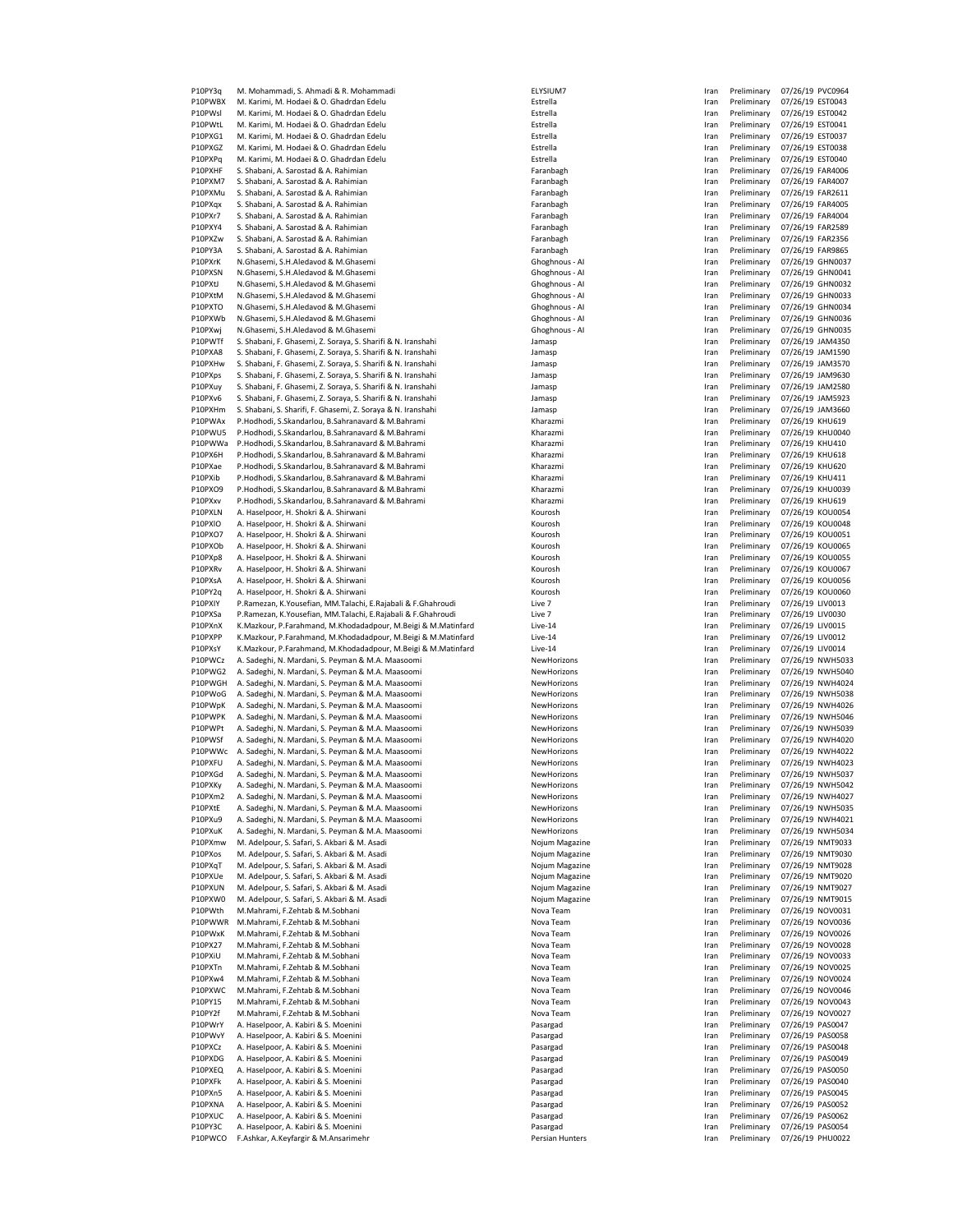| P10PY3q            | M. Mohammadi, S. Ahmadi & R. Mohammadi                                                                             | ELYSIUM7                         | Iran         | Preliminary                | 07/26/19 PVC0964                     |
|--------------------|--------------------------------------------------------------------------------------------------------------------|----------------------------------|--------------|----------------------------|--------------------------------------|
| P10PWBX            | M. Karimi, M. Hodaei & O. Ghadrdan Edelu                                                                           | Estrella                         | Iran         | Preliminary                | 07/26/19 EST0043                     |
| P10PWsl            | M. Karimi, M. Hodaei & O. Ghadrdan Edelu                                                                           | Estrella                         | Iran         | Preliminary                | 07/26/19 EST0042                     |
| P10PWtL            | M. Karimi, M. Hodaei & O. Ghadrdan Edelu                                                                           | Estrella                         | Iran         | Preliminary                | 07/26/19 EST0041                     |
| P10PXG1            | M. Karimi, M. Hodaei & O. Ghadrdan Edelu                                                                           | Estrella                         | Iran         | Preliminary                | 07/26/19 EST0037                     |
| P10PXGZ            | M. Karimi, M. Hodaei & O. Ghadrdan Edelu                                                                           | Estrella                         | Iran         | Preliminary                | 07/26/19 EST0038                     |
| P10PXPq<br>P10PXHF | M. Karimi, M. Hodaei & O. Ghadrdan Edelu<br>S. Shabani, A. Sarostad & A. Rahimian                                  | Estrella<br>Faranbagh            | Iran<br>Iran | Preliminary<br>Preliminary | 07/26/19 EST0040                     |
| P10PXM7            | S. Shabani, A. Sarostad & A. Rahimian                                                                              | Faranbagh                        | Iran         | Preliminary                | 07/26/19 FAR4006<br>07/26/19 FAR4007 |
| P10PXMu            | S. Shabani, A. Sarostad & A. Rahimian                                                                              | Faranbagh                        | Iran         | Preliminary                | 07/26/19 FAR2611                     |
| P10PXqx            | S. Shabani, A. Sarostad & A. Rahimian                                                                              | Faranbagh                        | Iran         | Preliminary                | 07/26/19 FAR4005                     |
| P10PXr7            | S. Shabani, A. Sarostad & A. Rahimian                                                                              | Faranbagh                        | Iran         | Preliminary                | 07/26/19 FAR4004                     |
| P10PXY4            | S. Shabani, A. Sarostad & A. Rahimian                                                                              | Faranbagh                        | Iran         | Preliminary                | 07/26/19 FAR2589                     |
| P10PXZw            | S. Shabani, A. Sarostad & A. Rahimian                                                                              | Faranbagh                        | Iran         | Preliminary                | 07/26/19 FAR2356                     |
| P10PY3A            | S. Shabani, A. Sarostad & A. Rahimian                                                                              | Faranbagh                        | Iran         | Preliminary                | 07/26/19 FAR9865                     |
| P10PXrK            | N.Ghasemi, S.H.Aledavod & M.Ghasemi                                                                                | Ghoghnous - Al                   | Iran         | Preliminary                | 07/26/19 GHN0037                     |
| P10PXSN            | N.Ghasemi, S.H.Aledavod & M.Ghasemi                                                                                | Ghoghnous - Al                   | Iran         | Preliminary                | 07/26/19 GHN0041                     |
| P10PXtJ            | N.Ghasemi, S.H.Aledavod & M.Ghasemi                                                                                | Ghoghnous - Al                   | Iran         | Preliminary                | 07/26/19 GHN0032                     |
| P10PXtM            | N.Ghasemi, S.H.Aledavod & M.Ghasemi                                                                                | Ghoghnous - Al                   | Iran<br>Iran | Preliminary                | 07/26/19 GHN0033<br>07/26/19 GHN0034 |
| P10PXTO<br>P10PXWb | N.Ghasemi, S.H.Aledavod & M.Ghasemi<br>N.Ghasemi, S.H.Aledavod & M.Ghasemi                                         | Ghoghnous - Al<br>Ghoghnous - Al | Iran         | Preliminary<br>Preliminary | 07/26/19 GHN0036                     |
| P10PXwj            | N.Ghasemi, S.H.Aledavod & M.Ghasemi                                                                                | Ghoghnous - Al                   | Iran         | Preliminary                | 07/26/19 GHN0035                     |
| P10PWTf            | S. Shabani, F. Ghasemi, Z. Soraya, S. Sharifi & N. Iranshahi                                                       | Jamasp                           | Iran         | Preliminary                | 07/26/19 JAM4350                     |
| P10PXA8            | S. Shabani, F. Ghasemi, Z. Soraya, S. Sharifi & N. Iranshahi                                                       | Jamasp                           | Iran         | Preliminary                | 07/26/19 JAM1590                     |
| P10PXHw            | S. Shabani, F. Ghasemi, Z. Soraya, S. Sharifi & N. Iranshahi                                                       | Jamasp                           | Iran         | Preliminary                | 07/26/19 JAM3570                     |
| P10PXps            | S. Shabani, F. Ghasemi, Z. Soraya, S. Sharifi & N. Iranshahi                                                       | Jamasp                           | Iran         | Preliminary                | 07/26/19 JAM9630                     |
| P10PXuy            | S. Shabani, F. Ghasemi, Z. Soraya, S. Sharifi & N. Iranshahi                                                       | Jamasp                           | Iran         | Preliminary                | 07/26/19 JAM2580                     |
| P10PXv6            | S. Shabani, F. Ghasemi, Z. Soraya, S. Sharifi & N. Iranshahi                                                       | Jamasp                           | Iran         | Preliminary                | 07/26/19 JAM5923                     |
| P10PXHm            | S. Shabani, S. Sharifi, F. Ghasemi, Z. Soraya & N. Iranshahi                                                       | Jamasp                           | Iran         | Preliminary                | 07/26/19 JAM3660                     |
| P10PWAx            | P.Hodhodi, S.Skandarlou, B.Sahranavard & M.Bahrami                                                                 | Kharazmi                         | Iran         | Preliminary                | 07/26/19 KHU619                      |
| P10PWU5            | P.Hodhodi, S.Skandarlou, B.Sahranavard & M.Bahrami                                                                 | Kharazmi                         | Iran         | Preliminary                | 07/26/19 KHU0040                     |
| P10PWWa            | P.Hodhodi, S.Skandarlou, B.Sahranavard & M.Bahrami                                                                 | Kharazmi                         | Iran         | Preliminary                | 07/26/19 KHU410                      |
| P10PX6H            | P.Hodhodi, S.Skandarlou, B.Sahranavard & M.Bahrami                                                                 | Kharazmi                         | Iran         | Preliminary                | 07/26/19 KHU618                      |
| P10PXae            | P.Hodhodi, S.Skandarlou, B.Sahranavard & M.Bahrami<br>P.Hodhodi, S.Skandarlou, B.Sahranavard & M.Bahrami           | Kharazmi                         | Iran         | Preliminary<br>Preliminary | 07/26/19 KHU620<br>07/26/19 KHU411   |
| P10PXib<br>P10PXO9 |                                                                                                                    | Kharazmi                         | Iran<br>Iran |                            |                                      |
| P10PXxv            | P.Hodhodi, S.Skandarlou, B.Sahranavard & M.Bahrami<br>P.Hodhodi, S.Skandarlou, B.Sahranavard & M.Bahrami           | Kharazmi<br>Kharazmi             | Iran         | Preliminary<br>Preliminary | 07/26/19 KHU0039<br>07/26/19 KHU619  |
| P10PXLN            | A. Haselpoor, H. Shokri & A. Shirwani                                                                              | Kourosh                          | Iran         | Preliminary                | 07/26/19 KOU0054                     |
| P10PXIO            | A. Haselpoor, H. Shokri & A. Shirwani                                                                              | Kourosh                          | Iran         | Preliminary                | 07/26/19 KOU0048                     |
| P10PXO7            | A. Haselpoor, H. Shokri & A. Shirwani                                                                              | Kourosh                          | Iran         | Preliminary                | 07/26/19 KOU0051                     |
| P10PXOb            | A. Haselpoor, H. Shokri & A. Shirwani                                                                              | Kourosh                          | Iran         | Preliminary                | 07/26/19 KOU0065                     |
| P10PXp8            | A. Haselpoor, H. Shokri & A. Shirwani                                                                              | Kourosh                          | Iran         | Preliminary                | 07/26/19 KOU0055                     |
| P10PXRv            | A. Haselpoor, H. Shokri & A. Shirwani                                                                              | Kourosh                          | Iran         | Preliminary                | 07/26/19 KOU0067                     |
| P10PXsA            | A. Haselpoor, H. Shokri & A. Shirwani                                                                              | Kourosh                          | Iran         | Preliminary                | 07/26/19 KOU0056                     |
| P10PY2q            | A. Haselpoor, H. Shokri & A. Shirwani                                                                              | Kourosh                          | Iran         | Preliminary                | 07/26/19 KOU0060                     |
| P10PXIY            | P.Ramezan, K.Yousefian, MM.Talachi, E.Rajabali & F.Ghahroudi                                                       | Live 7                           | Iran         | Preliminary                | 07/26/19 LIV0013                     |
| P10PXSa            | P.Ramezan, K.Yousefian, MM.Talachi, E.Rajabali & F.Ghahroudi                                                       | Live 7                           | Iran         | Preliminary                | 07/26/19 LIV0030                     |
| P10PXnX            | K.Mazkour, P.Farahmand, M.Khodadadpour, M.Beigi & M.Matinfard                                                      | Live-14                          | Iran         | Preliminary                | 07/26/19 LIV0015                     |
| P10PXPP            | K.Mazkour, P.Farahmand, M.Khodadadpour, M.Beigi & M.Matinfard                                                      | Live-14                          | Iran         | Preliminary                | 07/26/19 LIV0012                     |
| P10PXsY<br>P10PWCz | K.Mazkour, P.Farahmand, M.Khodadadpour, M.Beigi & M.Matinfard<br>A. Sadeghi, N. Mardani, S. Peyman & M.A. Maasoomi | Live-14<br>NewHorizons           | Iran<br>Iran | Preliminary<br>Preliminary | 07/26/19 LIV0014<br>07/26/19 NWH5033 |
| P10PWG2            | A. Sadeghi, N. Mardani, S. Peyman & M.A. Maasoomi                                                                  | NewHorizons                      | Iran         | Preliminary                | 07/26/19 NWH5040                     |
| P10PWGH            | A. Sadeghi, N. Mardani, S. Peyman & M.A. Maasoomi                                                                  | NewHorizons                      | Iran         | Preliminary                | 07/26/19 NWH4024                     |
| P10PWoG            | A. Sadeghi, N. Mardani, S. Peyman & M.A. Maasoomi                                                                  | NewHorizons                      | Iran         | Preliminary                | 07/26/19 NWH5038                     |
| P10PWpK            | A. Sadeghi, N. Mardani, S. Peyman & M.A. Maasoomi                                                                  | NewHorizons                      | Iran         | Preliminary                | 07/26/19 NWH4026                     |
| P10PWPK            | A. Sadeghi, N. Mardani, S. Peyman & M.A. Maasoomi                                                                  | NewHorizons                      | Iran         | Preliminary                | 07/26/19 NWH5046                     |
| P10PWPt            | A. Sadeghi, N. Mardani, S. Peyman & M.A. Maasoomi                                                                  | NewHorizons                      | Iran         | Preliminary                | 07/26/19 NWH5039                     |
| P10PWSf            | A. Sadeghi, N. Mardani, S. Peyman & M.A. Maasoomi                                                                  | NewHorizons                      | Iran         | Preliminary                | 07/26/19 NWH4020                     |
| P10PWWc            | A. Sadeghi, N. Mardani, S. Peyman & M.A. Maasoomi                                                                  | NewHorizons                      | Iran         | Preliminary                | 07/26/19 NWH4022                     |
| P10PXFU            | A. Sadeghi, N. Mardani, S. Peyman & M.A. Maasoomi                                                                  | NewHorizons                      | Iran         | Preliminary                | 07/26/19 NWH4023                     |
| P10PXGd            | A. Sadeghi, N. Mardani, S. Peyman & M.A. Maasoomi                                                                  | NewHorizons                      | Iran         | Preliminary                | 07/26/19 NWH5037                     |
| P10PXKy<br>P10PXm2 | A. Sadeghi, N. Mardani, S. Peyman & M.A. Maasoomi<br>A. Sadeghi, N. Mardani, S. Peyman & M.A. Maasoomi             | NewHorizons                      | Iran         | Preliminary                | 07/26/19 NWH5042<br>07/26/19 NWH4027 |
| P10PXtE            | A. Sadeghi, N. Mardani, S. Peyman & M.A. Maasoomi                                                                  | NewHorizons<br>NewHorizons       | Iran<br>Iran | Preliminary<br>Preliminary | 07/26/19 NWH5035                     |
| P10PXu9            | A. Sadeghi, N. Mardani, S. Peyman & M.A. Maasoomi                                                                  | NewHorizons                      | Iran         | Preliminary                | 07/26/19 NWH4021                     |
| P10PXuK            | A. Sadeghi, N. Mardani, S. Peyman & M.A. Maasoomi                                                                  | NewHorizons                      | Iran         | Preliminary                | 07/26/19 NWH5034                     |
| P10PXmw            | M. Adelpour, S. Safari, S. Akbari & M. Asadi                                                                       | Nojum Magazine                   | Iran         | Preliminary                | 07/26/19 NMT9033                     |
| P10PXos            | M. Adelpour, S. Safari, S. Akbari & M. Asadi                                                                       | Nojum Magazine                   | Iran         | Preliminary                | 07/26/19 NMT9030                     |
| P10PXqT            | M. Adelpour, S. Safari, S. Akbari & M. Asadi                                                                       | Nojum Magazine                   | Iran         | Preliminary                | 07/26/19 NMT9028                     |
| P10PXUe            | M. Adelpour, S. Safari, S. Akbari & M. Asadi                                                                       | Nojum Magazine                   | Iran         | Preliminary                | 07/26/19 NMT9020                     |
| P10PXUN            | M. Adelpour, S. Safari, S. Akbari & M. Asadi                                                                       | Nojum Magazine                   | Iran         | Preliminary                | 07/26/19 NMT9027                     |
| P10PXW0            | M. Adelpour, S. Safari, S. Akbari & M. Asadi                                                                       | Nojum Magazine                   | Iran         | Preliminary                | 07/26/19 NMT9015                     |
| P10PWth            | M.Mahrami, F.Zehtab & M.Sobhani<br>M.Mahrami, F.Zehtab & M.Sobhani                                                 | Nova Team                        | Iran         | Preliminary                | 07/26/19 NOV0031                     |
| P10PWWR<br>P10PWxK | M.Mahrami, F.Zehtab & M.Sobhani                                                                                    | Nova Team<br>Nova Team           | Iran<br>Iran | Preliminary<br>Preliminary | 07/26/19 NOV0036<br>07/26/19 NOV0026 |
| P10PX27            | M.Mahrami, F.Zehtab & M.Sobhani                                                                                    | Nova Team                        | Iran         | Preliminary                | 07/26/19 NOV0028                     |
| P10PXiU            | M.Mahrami, F.Zehtab & M.Sobhani                                                                                    | Nova Team                        | Iran         | Preliminary                | 07/26/19 NOV0033                     |
| P10PXTn            | M.Mahrami, F.Zehtab & M.Sobhani                                                                                    | Nova Team                        | Iran         | Preliminary                | 07/26/19 NOV0025                     |
| P10PXw4            | M.Mahrami, F.Zehtab & M.Sobhani                                                                                    | Nova Team                        | Iran         | Preliminary                | 07/26/19 NOV0024                     |
| P10PXWC            | M.Mahrami, F.Zehtab & M.Sobhani                                                                                    | Nova Team                        | Iran         | Preliminary                | 07/26/19 NOV0046                     |
| P10PY15            | M.Mahrami, F.Zehtab & M.Sobhani                                                                                    | Nova Team                        | Iran         | Preliminary                | 07/26/19 NOV0043                     |
| P10PY2f            | M.Mahrami, F.Zehtab & M.Sobhani                                                                                    | Nova Team                        | Iran         | Preliminary                | 07/26/19 NOV0027                     |
| P10PWrY            | A. Haselpoor, A. Kabiri & S. Moenini                                                                               | Pasargad                         | Iran         | Preliminary                | 07/26/19 PAS0047                     |
| P10PWvY            |                                                                                                                    |                                  | Iran         | Preliminary                |                                      |
| P10PXCz            | A. Haselpoor, A. Kabiri & S. Moenini                                                                               | Pasargad                         |              |                            | 07/26/19 PAS0058                     |
|                    | A. Haselpoor, A. Kabiri & S. Moenini                                                                               | Pasargad                         | Iran         | Preliminary                | 07/26/19 PAS0048                     |
| P10PXDG            | A. Haselpoor, A. Kabiri & S. Moenini                                                                               | Pasargad                         | Iran         | Preliminary                | 07/26/19 PAS0049                     |
| P10PXEQ            | A. Haselpoor, A. Kabiri & S. Moenini                                                                               | Pasargad                         | Iran         | Preliminary                | 07/26/19 PAS0050                     |
| P10PXFk            | A. Haselpoor, A. Kabiri & S. Moenini                                                                               | Pasargad                         | Iran         | Preliminary                | 07/26/19 PAS0040                     |
| P10PXn5<br>P10PXNA | A. Haselpoor, A. Kabiri & S. Moenini<br>A. Haselpoor, A. Kabiri & S. Moenini                                       | Pasargad<br>Pasargad             | Iran<br>Iran | Preliminary<br>Preliminary | 07/26/19 PAS0045<br>07/26/19 PAS0052 |
| P10PXUC            | A. Haselpoor, A. Kabiri & S. Moenini                                                                               | Pasargad                         | Iran         | Preliminary                | 07/26/19 PAS0062                     |
| P10PY3C            | A. Haselpoor, A. Kabiri & S. Moenini                                                                               | Pasargad                         | Iran         | Preliminary                | 07/26/19 PAS0054                     |

| ELYSIUM7                          |
|-----------------------------------|
| Estrella                          |
| Estrella                          |
| Estrella                          |
| Estrella                          |
|                                   |
| Estrella                          |
| Estrella                          |
| Faranbagh                         |
| Faranbagh                         |
| Faranbagh                         |
| Faranbagh                         |
|                                   |
| Faranbagh                         |
| Faranbagh                         |
| Faranbagh                         |
| Faranbagh                         |
| Ghoghnous - A                     |
| Ghoghnous - A                     |
|                                   |
| Ghoghnous - A                     |
| Ghoghnous - A                     |
| Griogririous - A<br>Ghoghnous - A |
| Ghoghnous -<br>A                  |
| A<br>- Shoghnous<br>C             |
| Jamasp                            |
|                                   |
| Jamasp                            |
| Jamasp                            |
| Jamasp                            |
| Jamasp                            |
| Jamasp                            |
|                                   |
| Jamasp                            |
| Kharazmi                          |
| Kharazmi                          |
| Kharazmi                          |
| Kharazmi                          |
| Kharazmi                          |
|                                   |
| Kharazmi                          |
| Kharazmi                          |
| Kharazmi                          |
| Kourosh                           |
| Kourosh                           |
| Kourosh                           |
|                                   |
| Kourosh                           |
| Kourosh                           |
| Kourosh                           |
|                                   |
| Kourosh                           |
|                                   |
| Kourosh                           |
| Live<br>7                         |
| Live<br>7                         |
| Live-14                           |
|                                   |
| $k = 14$<br>Live-14<br>Live-14    |
|                                   |
| NewHorizons                       |
| NewHorizons                       |
| NewHorizons                       |
| NewHorizons                       |
| NewHorizons                       |
|                                   |
| NewHorizons                       |
| NewHorizons                       |
| NewHorizons                       |
| NewHorizons                       |
| NewHorizons                       |
| NewHorizons                       |
|                                   |
| NewHorizons                       |
| NewHorizons                       |
| NewHorizons                       |
| NewHorizons                       |
| NewHorizons                       |
| Nojum Magazi                      |
| Nojum Magazi                      |
| Nojum Magazi                      |
|                                   |
| Nojum Magazi                      |
| Nojum Magazi                      |
| Nojum Magazi                      |
| Nova Team                         |
| Nova Team                         |
|                                   |
| Nova Team<br>Nova Team            |
|                                   |
| Nova Team                         |
| Nova Team                         |
| Nova<br>Team                      |
| Nova Team                         |
| Nova<br>Team                      |
| Nova Team                         |
|                                   |
| Pasargad                          |
| Pasargad                          |
| Pasargad                          |
| Pasargad                          |
| Pasargad                          |
| Pasargad                          |
|                                   |
| Pasargad                          |
| Pasargad<br>Pasargad              |

| Iran | Preliminary                | 07/26/19             | PVC0964            |
|------|----------------------------|----------------------|--------------------|
| Iran | Preliminary                | 07/26/19             | EST0043            |
| Iran | Preliminary                | 07/26/19             | EST0042            |
| Iran | Preliminary                | 07/26/19             | EST0041            |
| Iran | Preliminary                | 07/26/19             | <b>EST0037</b>     |
| Iran | Preliminary                | 07/26/19             | EST0038            |
| Iran | Preliminary                | 07/26/19             | <b>EST0040</b>     |
| Iran | Preliminary                | 07/26/19             | FAR4006            |
| Iran | Preliminary                | 07/26/19             | FAR4007            |
| Iran | Preliminary                | 07/26/19             | FAR2611            |
| Iran | Preliminary                | 07/26/19             | FAR4005            |
| Iran | Preliminary                | 07/26/19             | FAR4004            |
| Iran | Preliminary                | 07/26/19             | <b>FAR2589</b>     |
| Iran | Preliminary                | 07/26/19             | <b>FAR2356</b>     |
| Iran | Preliminary                | 07/26/19             | <b>FAR9865</b>     |
| Iran | Preliminary                | 07/26/19             | GHN0037            |
|      | Preliminary                | 07/26/19             | GHN0041            |
| Iran |                            |                      |                    |
| Iran | Preliminary                | 07/26/19             | GHN0032            |
| Iran | Preliminary                | 07/26/19             | GHN0033            |
| Iran | Preliminary                | 07/26/19             | GHN0034            |
| Iran | Preliminary                | 07/26/19             | GHN0036            |
| Iran | Preliminary                | 07/26/19             | GHN0035            |
| Iran | Preliminary                | 07/26/19             | JAM4350            |
| Iran | Preliminary                | 07/26/19             | JAM1590            |
| Iran | Preliminary                | 07/26/19             | JAM3570            |
| Iran | Preliminary                | 07/26/19             | JAM9630            |
| Iran | Preliminary                | 07/26/19             | JAM2580            |
| Iran | Preliminary                | 07/26/19             | <b>JAM5923</b>     |
| Iran | Preliminary                | 07/26/19             | JAM3660            |
|      | Preliminary                | 07/26/19             | KHU619             |
| Iran |                            |                      |                    |
| Iran | Preliminary                | 07/26/19             | KHU0040            |
| Iran | Preliminary                | 07/26/19             | KHU410             |
| Iran | Preliminary                | 07/26/19             | KHU618             |
| Iran | Preliminary                | 07/26/19             | KHU620             |
| Iran | Preliminary                | 07/26/19             | KHU411             |
| Iran | Preliminary                | 07/26/19             | KHU0039            |
| Iran | Preliminary                | 07/26/19             | KHU619             |
| Iran | Preliminary                | 07/26/19             | KOU0054            |
| Iran | Preliminary                | 07/26/19             | KOU0048            |
| Iran | Preliminary                | 07/26/19             | KOU0051            |
| Iran | Preliminary                | 07/26/19             | KOU0065            |
|      | Preliminary                | 07/26/19             | KOU0055            |
| Iran |                            |                      |                    |
| Iran | Preliminary                | 07/26/19             | KOU0067            |
| Iran | Preliminary                | 07/26/19             | KOU0056            |
| Iran | Preliminary                | 07/26/19             | <b>KOU0060</b>     |
| Iran | Preliminary                | 07/26/19             | LIV0013            |
| Iran | Preliminary                | 07/26/19             | LIV0030            |
| Iran | Preliminary                | 07/26/19             | LIV0015            |
| Iran | Preliminary                | 07/26/19             | LIV0012            |
| Iran | Preliminary                | 07/26/19             | LIV0014            |
| Iran | Preliminary                | 07/26/19             | <b>NWH503</b>      |
| Iran | Preliminary                | 07/26/19             | <b>NWH504</b>      |
| Iran | Preliminary                | 07/26/19             | <b>NWH402</b>      |
| Iran | Preliminary                | 07/26/19             | <b>NWH503</b>      |
|      | Preliminary                |                      | <b>NWH402</b>      |
| Iran |                            | 07/26/19             |                    |
| Iran | Preliminary                | 07/26/19             | <b>NWH504</b>      |
| Iran | Preliminary                | 07/26/19             | <b>NWH503</b>      |
| Iran | Preliminary                | 07/26/19             | <b>NWH402</b>      |
| Iran | Preliminary                | 07/26/19             | <b>NWH402</b>      |
| Iran | Preliminary                | 07/26/19             | <b>NWH402</b>      |
| Iran | Preliminary                | 07/26/19             | <b>NWH503</b>      |
| Iran | Preliminary                | 07/26/19             | <b>NWH504</b>      |
| Iran | Preliminary                | 07/26/19             | <b>NWH402</b>      |
| Iran | Preliminary                | 07/26/19             | <b>NWH503</b>      |
| Iran | Preliminary                | 07/26/19             | <b>NWH402</b>      |
| Iran | Preliminary                | 07/26/19             | <b>NWH503</b>      |
| Iran | Preliminary                | 07/26/19             | NMT9033            |
|      | Preliminary                |                      |                    |
| Iran |                            | 07/26/19             | <b>NMT9030</b>     |
| Iran | Preliminary                | 07/26/19             | NMT9028            |
| Iran | Preliminary                | 07/26/19             | <b>NMT9020</b>     |
| Iran | Preliminary                | 07/26/19             | NMT9027            |
| Iran | Preliminary                | 07/26/19             | NMT9019            |
| Iran | Preliminary                | 07/26/19             | NOV0031            |
| Iran | Preliminary                | 07/26/19             | NOV0036            |
| Iran | Preliminary                | 07/26/19             | NOV0026            |
| Iran | Preliminary                | 07/26/19             | NOV0028            |
| Iran | Preliminary                | 07/26/19             | NOV0033            |
| Iran | Preliminary                | 07/26/19             | NOV0025            |
| Iran | Preliminary                | 07/26/19             | NOV0024            |
| Iran | Preliminary                | 07/26/19             | NOV0046            |
|      |                            |                      |                    |
| Iran | Preliminary                | 07/26/19             | NOV0043            |
| Iran | Preliminary                | 07/26/19             | NOV0027            |
| Iran | Preliminary                | 07/26/19             | PAS0047            |
| Iran | Preliminary                | 07/26/19             | PAS0058            |
| Iran | Preliminary                | 07/26/19             | PAS0048            |
| Iran | Preliminary                | 07/26/19             | PAS0049            |
| Iran | Preliminary                | 07/26/19             | PAS0050            |
| Iran | Preliminary                | 07/26/19             | PAS0040            |
| Iran | Preliminary                | 07/26/19             | PAS0045            |
| Iran | Preliminary                | 07/26/19             | PAS0052            |
| Iran | Preliminary                | 07/26/19             | PAS0062            |
|      |                            |                      |                    |
| Iran |                            |                      |                    |
| Iran | Preliminary<br>Preliminary | 07/26/19<br>07/26/19 | PAS0054<br>PHU0022 |